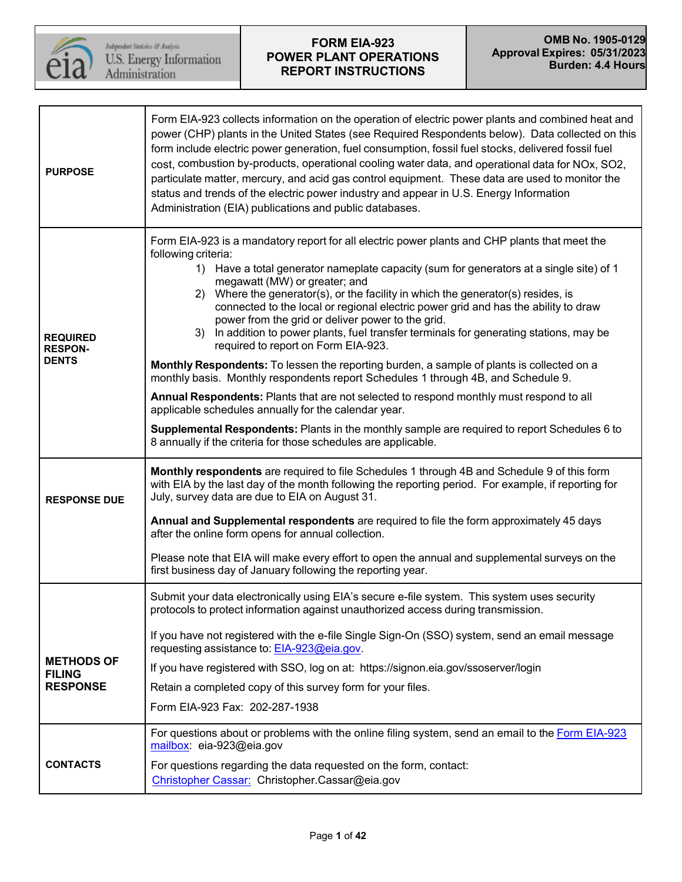

| <b>PURPOSE</b>                                    | Form EIA-923 collects information on the operation of electric power plants and combined heat and<br>power (CHP) plants in the United States (see Required Respondents below). Data collected on this<br>form include electric power generation, fuel consumption, fossil fuel stocks, delivered fossil fuel<br>cost, combustion by-products, operational cooling water data, and operational data for NOx, SO2,<br>particulate matter, mercury, and acid gas control equipment. These data are used to monitor the<br>status and trends of the electric power industry and appear in U.S. Energy Information<br>Administration (EIA) publications and public databases.                                                                                                                                                                                                                                                                                                                                                                                                                                                       |
|---------------------------------------------------|--------------------------------------------------------------------------------------------------------------------------------------------------------------------------------------------------------------------------------------------------------------------------------------------------------------------------------------------------------------------------------------------------------------------------------------------------------------------------------------------------------------------------------------------------------------------------------------------------------------------------------------------------------------------------------------------------------------------------------------------------------------------------------------------------------------------------------------------------------------------------------------------------------------------------------------------------------------------------------------------------------------------------------------------------------------------------------------------------------------------------------|
| <b>REQUIRED</b><br><b>RESPON-</b><br><b>DENTS</b> | Form EIA-923 is a mandatory report for all electric power plants and CHP plants that meet the<br>following criteria:<br>1) Have a total generator nameplate capacity (sum for generators at a single site) of 1<br>megawatt (MW) or greater; and<br>Where the generator(s), or the facility in which the generator(s) resides, is<br>2)<br>connected to the local or regional electric power grid and has the ability to draw<br>power from the grid or deliver power to the grid.<br>In addition to power plants, fuel transfer terminals for generating stations, may be<br>3)<br>required to report on Form EIA-923.<br>Monthly Respondents: To lessen the reporting burden, a sample of plants is collected on a<br>monthly basis. Monthly respondents report Schedules 1 through 4B, and Schedule 9.<br>Annual Respondents: Plants that are not selected to respond monthly must respond to all<br>applicable schedules annually for the calendar year.<br>Supplemental Respondents: Plants in the monthly sample are required to report Schedules 6 to<br>8 annually if the criteria for those schedules are applicable. |
| <b>RESPONSE DUE</b>                               | Monthly respondents are required to file Schedules 1 through 4B and Schedule 9 of this form<br>with EIA by the last day of the month following the reporting period. For example, if reporting for<br>July, survey data are due to EIA on August 31.                                                                                                                                                                                                                                                                                                                                                                                                                                                                                                                                                                                                                                                                                                                                                                                                                                                                           |
|                                                   | Annual and Supplemental respondents are required to file the form approximately 45 days<br>after the online form opens for annual collection.                                                                                                                                                                                                                                                                                                                                                                                                                                                                                                                                                                                                                                                                                                                                                                                                                                                                                                                                                                                  |
|                                                   | Please note that EIA will make every effort to open the annual and supplemental surveys on the<br>first business day of January following the reporting year.                                                                                                                                                                                                                                                                                                                                                                                                                                                                                                                                                                                                                                                                                                                                                                                                                                                                                                                                                                  |
|                                                   | Submit your data electronically using EIA's secure e-file system. This system uses security<br>protocols to protect information against unauthorized access during transmission.                                                                                                                                                                                                                                                                                                                                                                                                                                                                                                                                                                                                                                                                                                                                                                                                                                                                                                                                               |
| <b>METHODS OF</b>                                 | If you have not registered with the e-file Single Sign-On (SSO) system, send an email message<br>requesting assistance to: EIA-923@eia.gov.                                                                                                                                                                                                                                                                                                                                                                                                                                                                                                                                                                                                                                                                                                                                                                                                                                                                                                                                                                                    |
| <b>FILING</b>                                     | If you have registered with SSO, log on at: https://signon.eia.gov/ssoserver/login                                                                                                                                                                                                                                                                                                                                                                                                                                                                                                                                                                                                                                                                                                                                                                                                                                                                                                                                                                                                                                             |
| <b>RESPONSE</b>                                   | Retain a completed copy of this survey form for your files.<br>Form EIA-923 Fax: 202-287-1938                                                                                                                                                                                                                                                                                                                                                                                                                                                                                                                                                                                                                                                                                                                                                                                                                                                                                                                                                                                                                                  |
|                                                   | For questions about or problems with the online filing system, send an email to the Form EIA-923<br>mailbox eia-923@eia.gov                                                                                                                                                                                                                                                                                                                                                                                                                                                                                                                                                                                                                                                                                                                                                                                                                                                                                                                                                                                                    |
| <b>CONTACTS</b>                                   | For questions regarding the data requested on the form, contact:<br>Christopher Cassar: Christopher.Cassar@eia.gov                                                                                                                                                                                                                                                                                                                                                                                                                                                                                                                                                                                                                                                                                                                                                                                                                                                                                                                                                                                                             |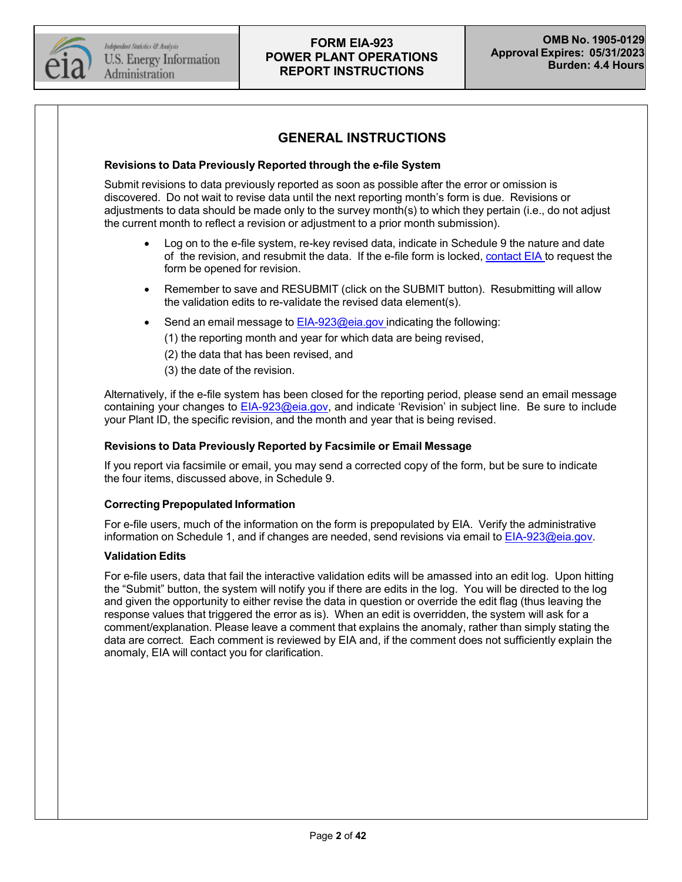

## **GENERAL INSTRUCTIONS**

#### **Revisions to Data Previously Reported through the e-file System**

Submit revisions to data previously reported as soon as possible after the error or omission is discovered. Do not wait to revise data until the next reporting month's form is due. Revisions or adjustments to data should be made only to the survey month(s) to which they pertain (i.e., do not adjust the current month to reflect a revision or adjustment to a prior month submission).

- Log on to the e-file system, re-key revised data, indicate in Schedule 9 the nature and date of the revision, and resubmit the data. If the e-file form is locked, [contact](mailto:EIA-923@eia.gov) EIA to request the form be opened for revision.
- Remember to save and RESUBMIT (click on the SUBMIT button). Resubmitting will allow the validation edits to re-validate the revised data element(s).
- Send an email message to [EIA-923@eia.gov](mailto:eia-923@eia.gov) indicating the following:
	- (1) the reporting month and year for which data are being revised,
	- (2) the data that has been revised, and
	- (3) the date of the revision.

Alternatively, if the e-file system has been closed for the reporting period, please send an email message containing your changes to [EIA-923@eia.gov,](mailto:eia-923@eia.gov) and indicate 'Revision' in subject line. Be sure to include your Plant ID, the specific revision, and the month and year that is being revised.

#### **Revisions to Data Previously Reported by Facsimile or Email Message**

If you report via facsimile or email, you may send a corrected copy of the form, but be sure to indicate the four items, discussed above, in Schedule 9.

#### **Correcting Prepopulated Information**

For e-file users, much of the information on the form is prepopulated by EIA. Verify the administrative information on Schedule 1, and if changes are needed, send revisions via email to [EIA-923@eia.gov.](mailto:EIA-923@eia.gov)

#### **Validation Edits**

For e-file users, data that fail the interactive validation edits will be amassed into an edit log. Upon hitting the "Submit" button, the system will notify you if there are edits in the log. You will be directed to the log and given the opportunity to either revise the data in question or override the edit flag (thus leaving the response values that triggered the error as is). When an edit is overridden, the system will ask for a comment/explanation. Please leave a comment that explains the anomaly, rather than simply stating the data are correct. Each comment is reviewed by EIA and, if the comment does not sufficiently explain the anomaly, EIA will contact you for clarification.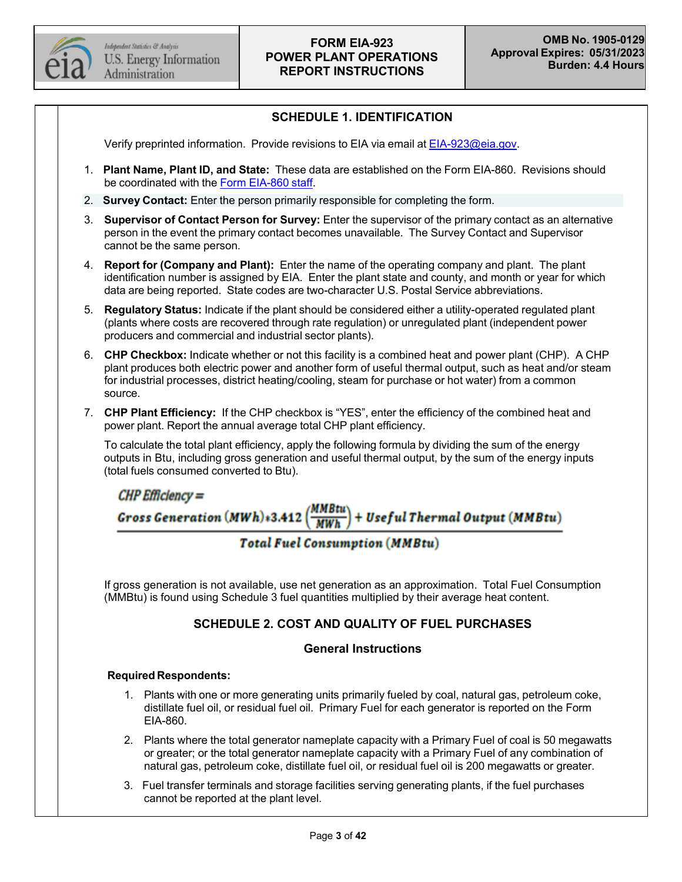

## **SCHEDULE 1. IDENTIFICATION**

Verify preprinted information. Provide revisions to EIA via email at [EIA-923@eia.gov.](mailto:EIA-923@eia.gov)

- 1. **Plant Name, Plant ID, and State:** These data are established on the Form EIA-860. Revisions should be coordinated with the Form [EIA-860](mailto:EIA-860@eia.gov) staff.
- 2. **Survey Contact:** Enter the person primarily responsible for completing the form.
- 3. **Supervisor of Contact Person for Survey:** Enter the supervisor of the primary contact as an alternative person in the event the primary contact becomes unavailable. The Survey Contact and Supervisor cannot be the same person.
- 4. **Report for (Company and Plant):** Enter the name of the operating company and plant. The plant identification number is assigned by EIA. Enter the plant state and county, and month or year for which data are being reported. State codes are two-character U.S. Postal Service abbreviations.
- 5. **Regulatory Status:** Indicate if the plant should be considered either a utility-operated regulated plant (plants where costs are recovered through rate regulation) or unregulated plant (independent power producers and commercial and industrial sector plants).
- 6. **CHP Checkbox:** Indicate whether or not this facility is a combined heat and power plant (CHP). A CHP plant produces both electric power and another form of useful thermal output, such as heat and/or steam for industrial processes, district heating/cooling, steam for purchase or hot water) from a common source.
- 7. **CHP Plant Efficiency:** If the CHP checkbox is "YES", enter the efficiency of the combined heat and power plant. Report the annual average total CHP plant efficiency.

To calculate the total plant efficiency, apply the following formula by dividing the sum of the energy outputs in Btu, including gross generation and useful thermal output, by the sum of the energy inputs (total fuels consumed converted to Btu).

 $CHP$  Efficiency  $=$ Gross Generation (MWh)+3.412  $\left(\frac{MMBtu}{MWh}\right)$ )<br>|-<br>| + Useful Thermal Output (MMBtu)

## **Total Fuel Consumption (MMBtu)**

If gross generation is not available, use net generation as an approximation. Total Fuel Consumption (MMBtu) is found using Schedule 3 fuel quantities multiplied by their average heat content.

## **SCHEDULE 2. COST AND QUALITY OF FUEL PURCHASES**

#### **General Instructions**

#### **Required Respondents:**

- 1. Plants with one or more generating units primarily fueled by coal, natural gas, petroleum coke, distillate fuel oil, or residual fuel oil. Primary Fuel for each generator is reported on the Form EIA-860.
- 2. Plants where the total generator nameplate capacity with a Primary Fuel of coal is 50 megawatts or greater; or the total generator nameplate capacity with a Primary Fuel of any combination of natural gas, petroleum coke, distillate fuel oil, or residual fuel oil is 200 megawatts or greater.
- 3. Fuel transfer terminals and storage facilities serving generating plants, if the fuel purchases cannot be reported at the plant level.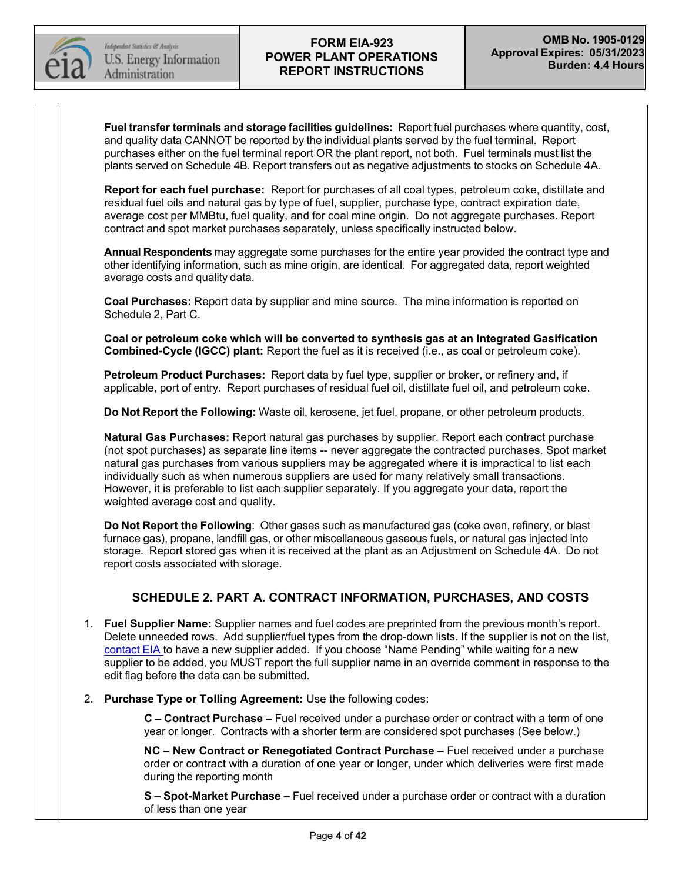

**Fuel transfer terminals and storage facilities guidelines:** Report fuel purchases where quantity, cost, and quality data CANNOT be reported by the individual plants served by the fuel terminal. Report purchases either on the fuel terminal report OR the plant report, not both. Fuel terminals must list the plants served on Schedule 4B. Report transfers out as negative adjustments to stocks on Schedule 4A.

**Report for each fuel purchase:** Report for purchases of all coal types, petroleum coke, distillate and residual fuel oils and natural gas by type of fuel, supplier, purchase type, contract expiration date, average cost per MMBtu, fuel quality, and for coal mine origin. Do not aggregate purchases. Report contract and spot market purchases separately, unless specifically instructed below.

**Annual Respondents** may aggregate some purchases for the entire year provided the contract type and other identifying information, such as mine origin, are identical. For aggregated data, report weighted average costs and quality data.

**Coal Purchases:** Report data by supplier and mine source. The mine information is reported on Schedule 2, Part C.

**Coal or petroleum coke which will be converted to synthesis gas at an Integrated Gasification Combined-Cycle (IGCC) plant:** Report the fuel as it is received (i.e., as coal or petroleum coke).

**Petroleum Product Purchases:** Report data by fuel type, supplier or broker, or refinery and, if applicable, port of entry. Report purchases of residual fuel oil, distillate fuel oil, and petroleum coke.

**Do Not Report the Following:** Waste oil, kerosene, jet fuel, propane, or other petroleum products.

**Natural Gas Purchases:** Report natural gas purchases by supplier. Report each contract purchase (not spot purchases) as separate line items -- never aggregate the contracted purchases. Spot market natural gas purchases from various suppliers may be aggregated where it is impractical to list each individually such as when numerous suppliers are used for many relatively small transactions. However, it is preferable to list each supplier separately. If you aggregate your data, report the weighted average cost and quality.

**Do Not Report the Following**: Other gases such as manufactured gas (coke oven, refinery, or blast furnace gas), propane, landfill gas, or other miscellaneous gaseous fuels, or natural gas injected into storage. Report stored gas when it is received at the plant as an Adjustment on Schedule 4A. Do not report costs associated with storage.

## **SCHEDULE 2. PART A. CONTRACT INFORMATION, PURCHASES, AND COSTS**

- 1. **Fuel Supplier Name:** Supplier names and fuel codes are preprinted from the previous month's report. Delete unneeded rows. Add supplier/fuel types from the drop-down lists. If the supplier is not on the list, [contact](mailto:EIA-923@eia.gov) EIA to have a new supplier added. If you choose "Name Pending" while waiting for a new supplier to be added, you MUST report the full supplier name in an override comment in response to the edit flag before the data can be submitted.
- 2. **Purchase Type or Tolling Agreement:** Use the following codes:

**C – Contract Purchase –** Fuel received under a purchase order or contract with a term of one year or longer. Contracts with a shorter term are considered spot purchases (See below.)

**NC – New Contract or Renegotiated Contract Purchase –** Fuel received under a purchase order or contract with a duration of one year or longer, under which deliveries were first made during the reporting month

**S – Spot-Market Purchase –** Fuel received under a purchase order or contract with a duration of less than one year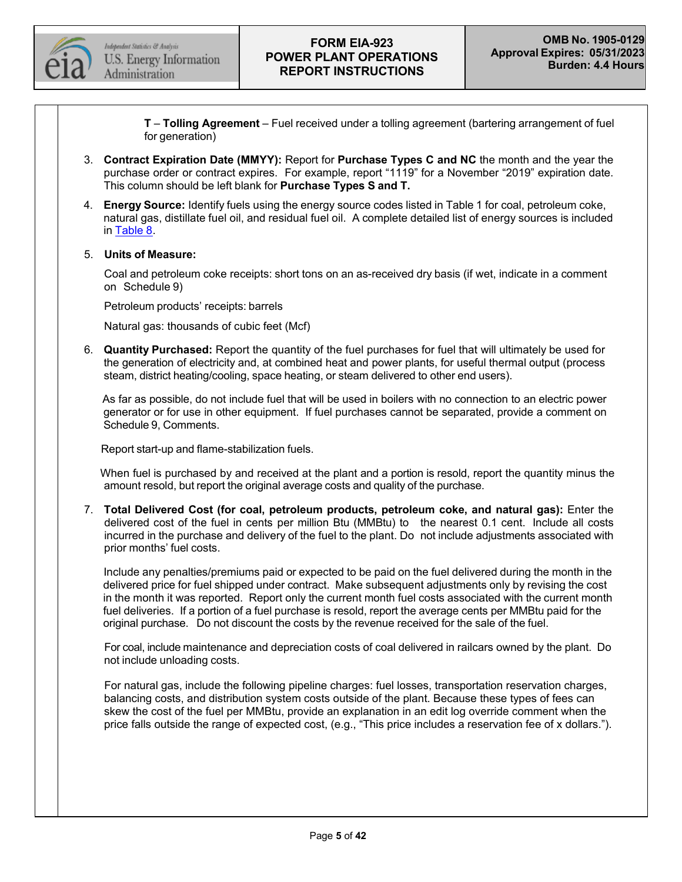

**T** – **Tolling Agreement** – Fuel received under a tolling agreement (bartering arrangement of fuel for generation)

- 3. **Contract Expiration Date (MMYY):** Report for **Purchase Types C and NC** the month and the year the purchase order or contract expires. For example, report "1119" for a November "2019" expiration date. This column should be left blank for **Purchase Types S and T.**
- 4. **Energy Source:** Identify fuels using the energy source codes listed in Table 1 for coal, petroleum coke, natural gas, distillate fuel oil, and residual fuel oil. A complete detailed list of energy sources is included in [Table](#page-32-0) 8.

#### 5. **Units of Measure:**

Coal and petroleum coke receipts: short tons on an as-received dry basis (if wet, indicate in a comment on Schedule 9)

Petroleum products' receipts: barrels

Natural gas: thousands of cubic feet (Mcf)

6. **Quantity Purchased:** Report the quantity of the fuel purchases for fuel that will ultimately be used for the generation of electricity and, at combined heat and power plants, for useful thermal output (process steam, district heating/cooling, space heating, or steam delivered to other end users).

As far as possible, do not include fuel that will be used in boilers with no connection to an electric power generator or for use in other equipment. If fuel purchases cannot be separated, provide a comment on Schedule 9, Comments.

Report start-up and flame-stabilization fuels.

When fuel is purchased by and received at the plant and a portion is resold, report the quantity minus the amount resold, but report the original average costs and quality of the purchase.

7. **Total Delivered Cost (for coal, petroleum products, petroleum coke, and natural gas):** Enter the delivered cost of the fuel in cents per million Btu (MMBtu) to the nearest 0.1 cent. Include all costs incurred in the purchase and delivery of the fuel to the plant. Do not include adjustments associated with prior months' fuel costs.

Include any penalties/premiums paid or expected to be paid on the fuel delivered during the month in the delivered price for fuel shipped under contract. Make subsequent adjustments only by revising the cost in the month it was reported. Report only the current month fuel costs associated with the current month fuel deliveries. If a portion of a fuel purchase is resold, report the average cents per MMBtu paid for the original purchase. Do not discount the costs by the revenue received for the sale of the fuel.

For coal, include maintenance and depreciation costs of coal delivered in railcars owned by the plant. Do not include unloading costs.

For natural gas, include the following pipeline charges: fuel losses, transportation reservation charges, balancing costs, and distribution system costs outside of the plant. Because these types of fees can skew the cost of the fuel per MMBtu, provide an explanation in an edit log override comment when the price falls outside the range of expected cost, (e.g., "This price includes a reservation fee of x dollars.").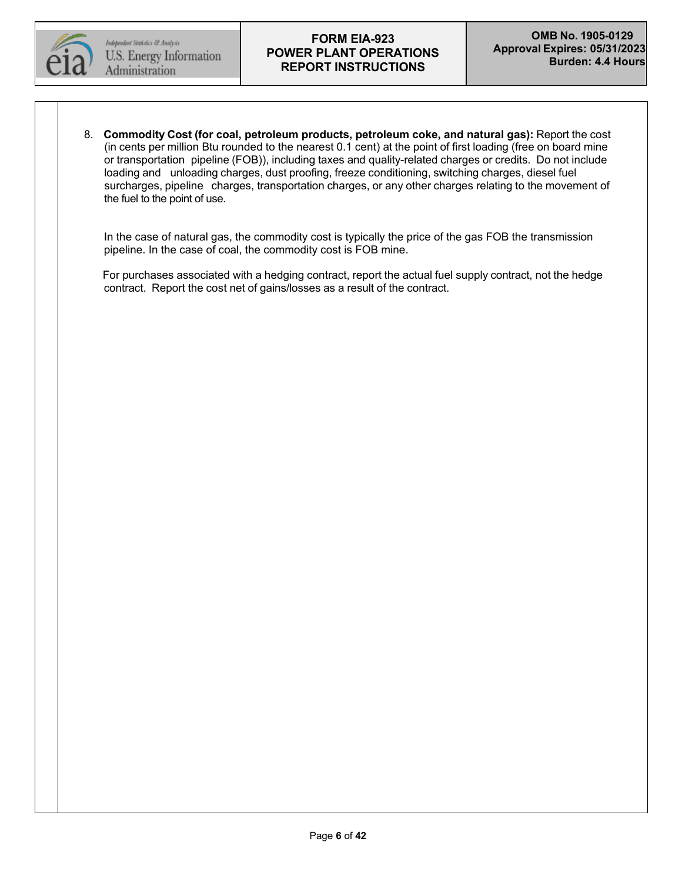

8. **Commodity Cost (for coal, petroleum products, petroleum coke, and natural gas):** Report the cost (in cents per million Btu rounded to the nearest 0.1 cent) at the point of first loading (free on board mine or transportation pipeline (FOB)), including taxes and quality-related charges or credits. Do not include loading and unloading charges, dust proofing, freeze conditioning, switching charges, diesel fuel surcharges, pipeline charges, transportation charges, or any other charges relating to the movement of the fuel to the point of use.

In the case of natural gas, the commodity cost is typically the price of the gas FOB the transmission pipeline. In the case of coal, the commodity cost is FOB mine.

For purchases associated with a hedging contract, report the actual fuel supply contract, not the hedge contract. Report the cost net of gains/losses as a result of the contract.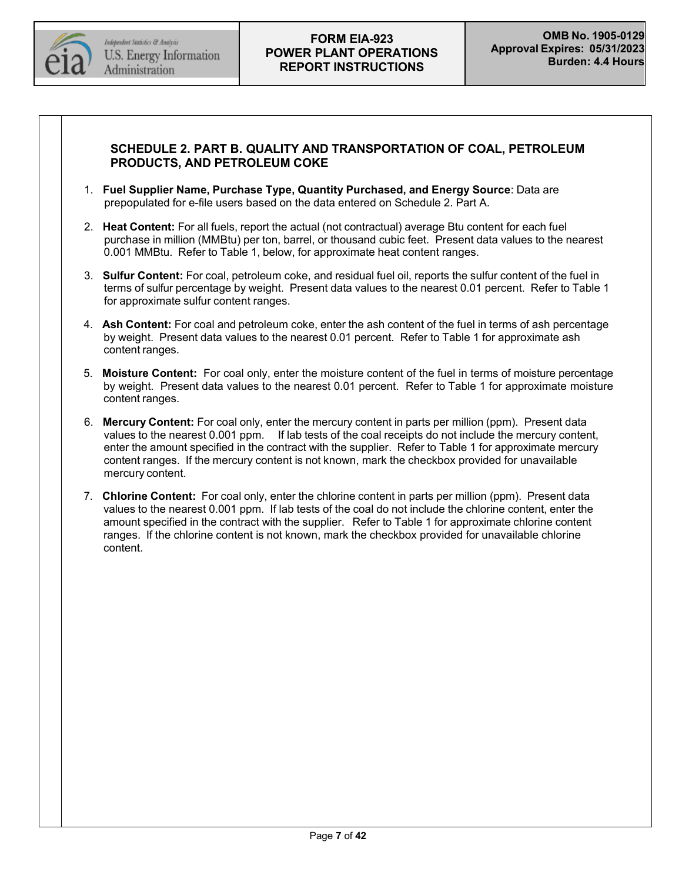

## **SCHEDULE 2. PART B. QUALITY AND TRANSPORTATION OF COAL, PETROLEUM PRODUCTS, AND PETROLEUM COKE**

- 1. **Fuel Supplier Name, Purchase Type, Quantity Purchased, and Energy Source**: Data are prepopulated for e-file users based on the data entered on Schedule 2. Part A.
- 2. **Heat Content:** For all fuels, report the actual (not contractual) average Btu content for each fuel purchase in million (MMBtu) per ton, barrel, or thousand cubic feet. Present data values to the nearest 0.001 MMBtu. Refer to Table 1, below, for approximate heat content ranges.
- 3. **Sulfur Content:** For coal, petroleum coke, and residual fuel oil, reports the sulfur content of the fuel in terms of sulfur percentage by weight. Present data values to the nearest 0.01 percent. Refer to Table 1 for approximate sulfur content ranges.
- 4. **Ash Content:** For coal and petroleum coke, enter the ash content of the fuel in terms of ash percentage by weight. Present data values to the nearest 0.01 percent. Refer to Table 1 for approximate ash content ranges.
- 5. **Moisture Content:** For coal only, enter the moisture content of the fuel in terms of moisture percentage by weight. Present data values to the nearest 0.01 percent. Refer to Table 1 for approximate moisture content ranges.
- 6. **Mercury Content:** For coal only, enter the mercury content in parts per million (ppm). Present data values to the nearest 0.001 ppm. If lab tests of the coal receipts do not include the mercury content, enter the amount specified in the contract with the supplier. Refer to Table 1 for approximate mercury content ranges. If the mercury content is not known, mark the checkbox provided for unavailable mercury content.
- 7. **Chlorine Content:** For coal only, enter the chlorine content in parts per million (ppm). Present data values to the nearest 0.001 ppm. If lab tests of the coal do not include the chlorine content, enter the amount specified in the contract with the supplier. Refer to Table 1 for approximate chlorine content ranges. If the chlorine content is not known, mark the checkbox provided for unavailable chlorine content.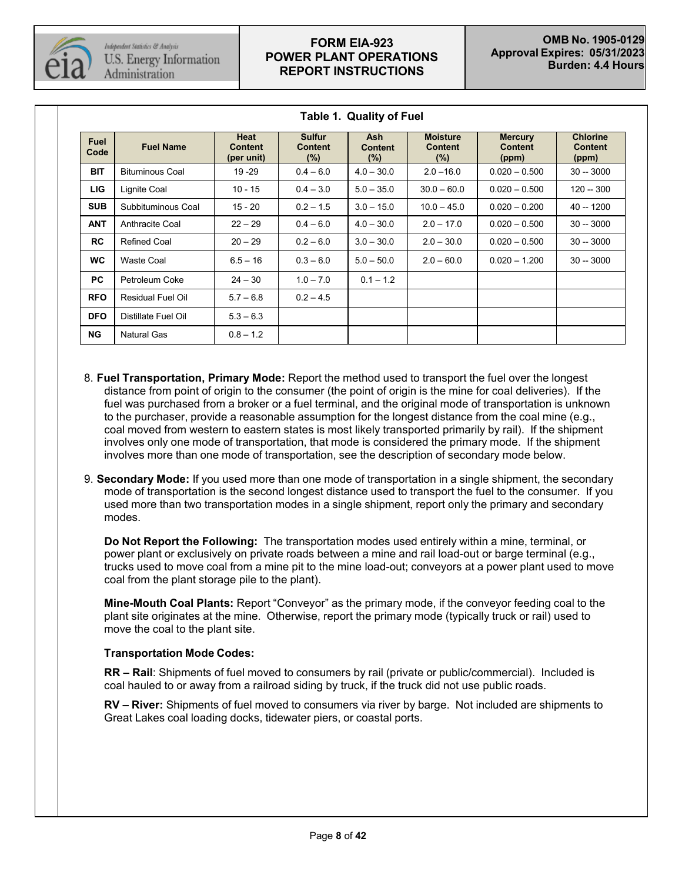

| <b>Fuel</b><br>Code | <b>Fuel Name</b>         | Heat<br><b>Content</b><br>(per unit) | <b>Sulfur</b><br><b>Content</b><br>(%) | <b>Ash</b><br><b>Content</b><br>(%) | <b>Moisture</b><br><b>Content</b><br>$(\%)$ | <b>Mercury</b><br><b>Content</b><br>(ppm) | <b>Chlorine</b><br><b>Content</b><br>(ppm) |
|---------------------|--------------------------|--------------------------------------|----------------------------------------|-------------------------------------|---------------------------------------------|-------------------------------------------|--------------------------------------------|
| <b>BIT</b>          | <b>Bituminous Coal</b>   | 19 - 29                              | $0.4 - 6.0$                            | $4.0 - 30.0$                        | $2.0 - 16.0$                                | $0.020 - 0.500$                           | $30 - 3000$                                |
| <b>LIG</b>          | Lignite Coal             | $10 - 15$                            | $0.4 - 3.0$                            | $5.0 - 35.0$                        | $30.0 - 60.0$                               | $0.020 - 0.500$                           | 120 -- 300                                 |
| <b>SUB</b>          | Subbituminous Coal       | $15 - 20$                            | $0.2 - 1.5$                            | $3.0 - 15.0$                        | $10.0 - 45.0$                               | $0.020 - 0.200$                           | 40 -- 1200                                 |
| <b>ANT</b>          | Anthracite Coal          | $22 - 29$                            | $0.4 - 6.0$                            | $4.0 - 30.0$                        | $2.0 - 17.0$                                | $0.020 - 0.500$                           | $30 - 3000$                                |
| <b>RC</b>           | <b>Refined Coal</b>      | $20 - 29$                            | $0.2 - 6.0$                            | $3.0 - 30.0$                        | $2.0 - 30.0$                                | $0.020 - 0.500$                           | $30 - 3000$                                |
| <b>WC</b>           | Waste Coal               | $6.5 - 16$                           | $0.3 - 6.0$                            | $5.0 - 50.0$                        | $2.0 - 60.0$                                | $0.020 - 1.200$                           | $30 - 3000$                                |
| <b>PC</b>           | Petroleum Coke           | $24 - 30$                            | $1.0 - 7.0$                            | $0.1 - 1.2$                         |                                             |                                           |                                            |
| <b>RFO</b>          | <b>Residual Fuel Oil</b> | $5.7 - 6.8$                          | $0.2 - 4.5$                            |                                     |                                             |                                           |                                            |
| <b>DFO</b>          | Distillate Fuel Oil      | $5.3 - 6.3$                          |                                        |                                     |                                             |                                           |                                            |
| <b>NG</b>           | <b>Natural Gas</b>       | $0.8 - 1.2$                          |                                        |                                     |                                             |                                           |                                            |

**Table 1. Quality of Fuel**

- 8. **Fuel Transportation, Primary Mode:** Report the method used to transport the fuel over the longest distance from point of origin to the consumer (the point of origin is the mine for coal deliveries). If the fuel was purchased from a broker or a fuel terminal, and the original mode of transportation is unknown to the purchaser, provide a reasonable assumption for the longest distance from the coal mine (e.g., coal moved from western to eastern states is most likely transported primarily by rail). If the shipment involves only one mode of transportation, that mode is considered the primary mode. If the shipment involves more than one mode of transportation, see the description of secondary mode below.
- 9. **Secondary Mode:** If you used more than one mode of transportation in a single shipment, the secondary mode of transportation is the second longest distance used to transport the fuel to the consumer. If you used more than two transportation modes in a single shipment, report only the primary and secondary modes.

**Do Not Report the Following:** The transportation modes used entirely within a mine, terminal, or power plant or exclusively on private roads between a mine and rail load-out or barge terminal (e.g., trucks used to move coal from a mine pit to the mine load-out; conveyors at a power plant used to move coal from the plant storage pile to the plant).

**Mine-Mouth Coal Plants:** Report "Conveyor" as the primary mode, if the conveyor feeding coal to the plant site originates at the mine. Otherwise, report the primary mode (typically truck or rail) used to move the coal to the plant site.

#### **Transportation Mode Codes:**

**RR – Rail**: Shipments of fuel moved to consumers by rail (private or public/commercial). Included is coal hauled to or away from a railroad siding by truck, if the truck did not use public roads.

**RV – River:** Shipments of fuel moved to consumers via river by barge. Not included are shipments to Great Lakes coal loading docks, tidewater piers, or coastal ports.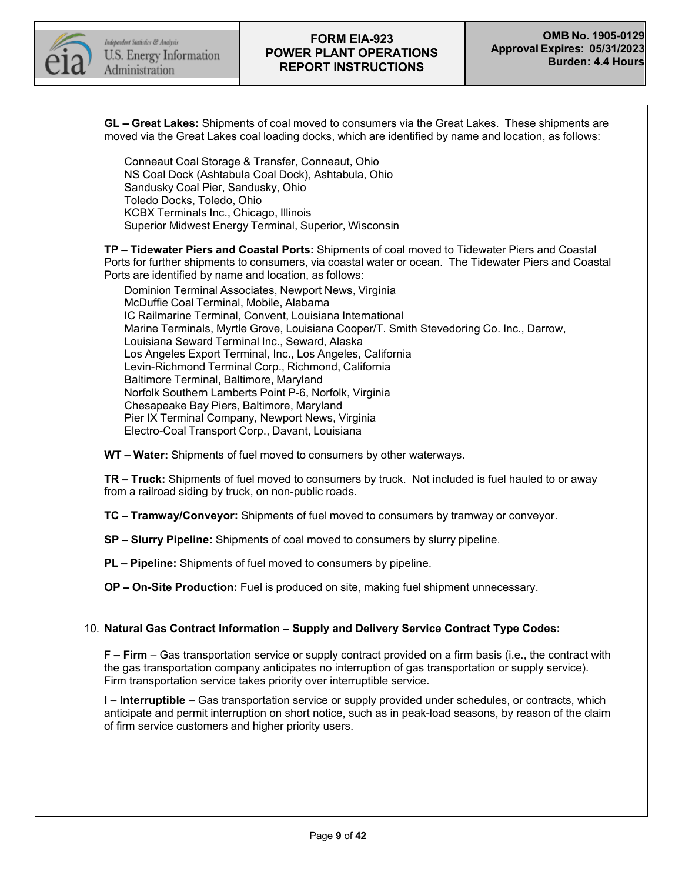

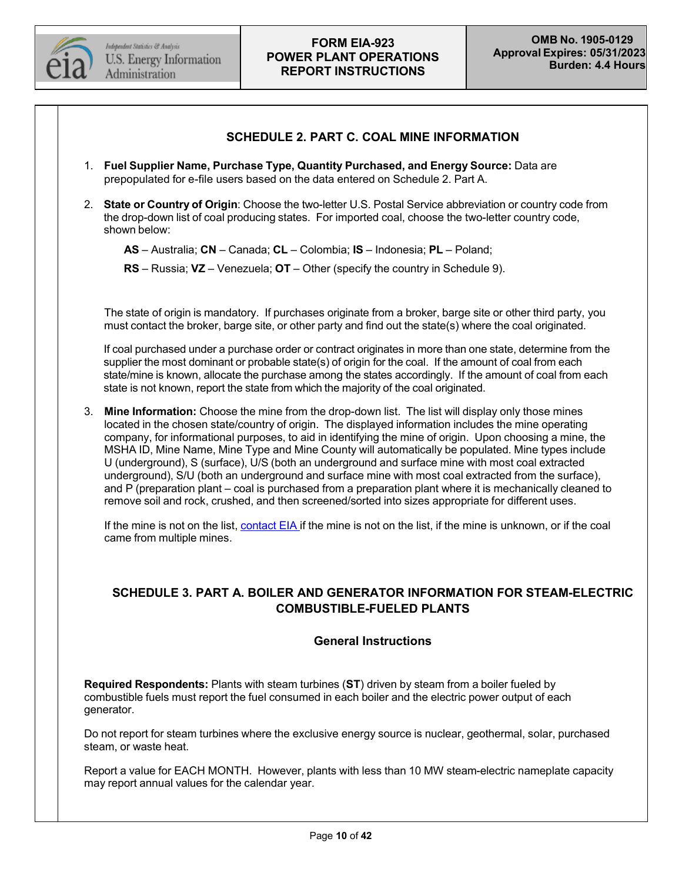

#### **SCHEDULE 2. PART C. COAL MINE INFORMATION**

- 1. **Fuel Supplier Name, Purchase Type, Quantity Purchased, and Energy Source:** Data are prepopulated for e-file users based on the data entered on Schedule 2. Part A.
- 2. **State or Country of Origin**: Choose the two-letter U.S. Postal Service abbreviation or country code from the drop-down list of coal producing states. For imported coal, choose the two-letter country code, shown below:

**AS** – Australia; **CN** – Canada; **CL** – Colombia; **IS** – Indonesia; **PL** – Poland;

**RS** – Russia; **VZ** – Venezuela; **OT** – Other (specify the country in Schedule 9).

The state of origin is mandatory. If purchases originate from a broker, barge site or other third party, you must contact the broker, barge site, or other party and find out the state(s) where the coal originated.

If coal purchased under a purchase order or contract originates in more than one state, determine from the supplier the most dominant or probable state(s) of origin for the coal. If the amount of coal from each state/mine is known, allocate the purchase among the states accordingly. If the amount of coal from each state is not known, report the state from which the majority of the coal originated.

3. **Mine Information:** Choose the mine from the drop-down list. The list will display only those mines located in the chosen state/country of origin. The displayed information includes the mine operating company, for informational purposes, to aid in identifying the mine of origin. Upon choosing a mine, the MSHA ID, Mine Name, Mine Type and Mine County will automatically be populated. Mine types include U (underground), S (surface), U/S (both an underground and surface mine with most coal extracted underground), S/U (both an underground and surface mine with most coal extracted from the surface), and P (preparation plant – coal is purchased from a preparation plant where it is mechanically cleaned to remove soil and rock, crushed, and then screened/sorted into sizes appropriate for different uses.

If the mine is not on the list, [contact](mailto:EIA-923@eia.gov) EIA if the mine is not on the list, if the mine is unknown, or if the coal came from multiple mines.

## **SCHEDULE 3. PART A. BOILER AND GENERATOR INFORMATION FOR STEAM-ELECTRIC COMBUSTIBLE-FUELED PLANTS**

#### **General Instructions**

**Required Respondents:** Plants with steam turbines (**ST**) driven by steam from a boiler fueled by combustible fuels must report the fuel consumed in each boiler and the electric power output of each generator.

Do not report for steam turbines where the exclusive energy source is nuclear, geothermal, solar, purchased steam, or waste heat.

Report a value for EACH MONTH. However, plants with less than 10 MW steam-electric nameplate capacity may report annual values for the calendar year.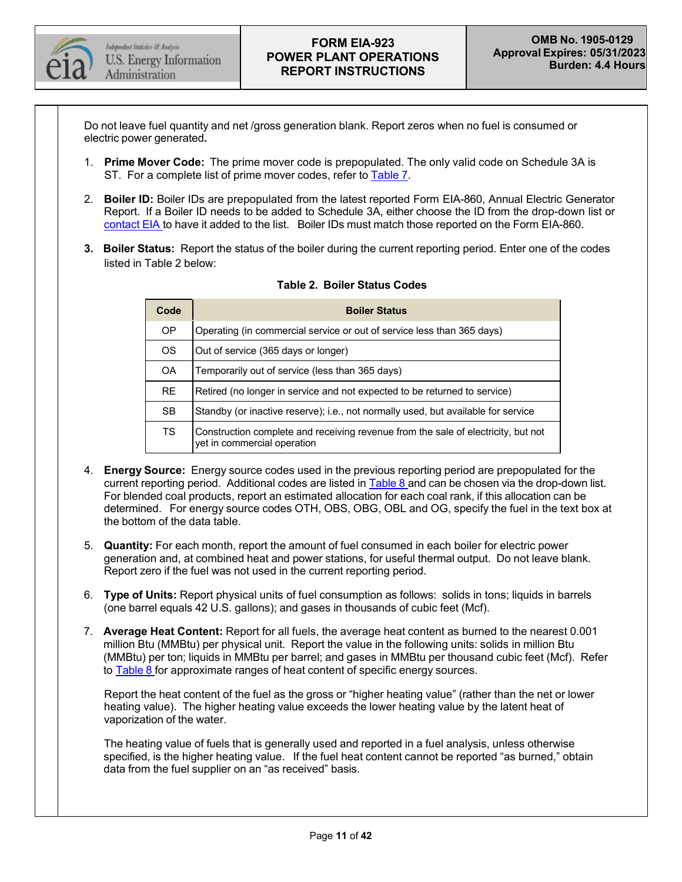

Do not leave fuel quantity and net /gross generation blank. Report zeros when no fuel is consumed or electric power generated**.**

- 1. **Prime Mover Code:** The prime mover code is prepopulated. The only valid code on Schedule 3A is ST. For a complete list of prime mover codes, refer to [Table](#page-31-0) 7.
- 2. **Boiler ID:** Boiler IDs are prepopulated from the latest reported Form EIA-860, Annual Electric Generator Report. If a Boiler ID needs to be added to Schedule 3A, either choose the ID from the drop-down list or [contact](mailto:EIA-923@eia.gov) EIA to have it added to the list. Boiler IDs must match those reported on the Form EIA-860.
- **3. Boiler Status:** Report the status of the boiler during the current reporting period. Enter one of the codes listed in Table 2 below:

| Code      | <b>Boiler Status</b>                                                                                             |  |  |  |  |
|-----------|------------------------------------------------------------------------------------------------------------------|--|--|--|--|
| <b>OP</b> | Operating (in commercial service or out of service less than 365 days)                                           |  |  |  |  |
| <b>OS</b> | Out of service (365 days or longer)                                                                              |  |  |  |  |
| <b>OA</b> | Temporarily out of service (less than 365 days)                                                                  |  |  |  |  |
| RE.       | Retired (no longer in service and not expected to be returned to service)                                        |  |  |  |  |
| <b>SB</b> | Standby (or inactive reserve); i.e., not normally used, but available for service                                |  |  |  |  |
| <b>TS</b> | Construction complete and receiving revenue from the sale of electricity, but not<br>yet in commercial operation |  |  |  |  |

#### **Table 2. Boiler Status Codes**

- 4. **Energy Source:** Energy source codes used in the previous reporting period are prepopulated for the current reporting period. Additional codes are listed in [Table](#page-32-0) 8 and can be chosen via the drop-down list. For blended coal products, report an estimated allocation for each coal rank, if this allocation can be determined. For energy source codes OTH, OBS, OBG, OBL and OG, specify the fuel in the text box at the bottom of the data table.
- 5. **Quantity:** For each month, report the amount of fuel consumed in each boiler for electric power generation and, at combined heat and power stations, for useful thermal output. Do not leave blank. Report zero if the fuel was not used in the current reporting period.
- 6. **Type of Units:** Report physical units of fuel consumption as follows: solids in tons; liquids in barrels (one barrel equals 42 U.S. gallons); and gases in thousands of cubic feet (Mcf).
- 7. **Average Heat Content:** Report for all fuels, the average heat content as burned to the nearest 0.001 million Btu (MMBtu) per physical unit. Report the value in the following units: solids in million Btu (MMBtu) per ton; liquids in MMBtu per barrel; and gases in MMBtu per thousand cubic feet (Mcf). Refer to [Table](#page-32-0) 8 for approximate ranges of heat content of specific energy sources.

Report the heat content of the fuel as the gross or "higher heating value" (rather than the net or lower heating value). The higher heating value exceeds the lower heating value by the latent heat of vaporization of the water.

The heating value of fuels that is generally used and reported in a fuel analysis, unless otherwise specified, is the higher heating value. If the fuel heat content cannot be reported "as burned," obtain data from the fuel supplier on an "as received" basis.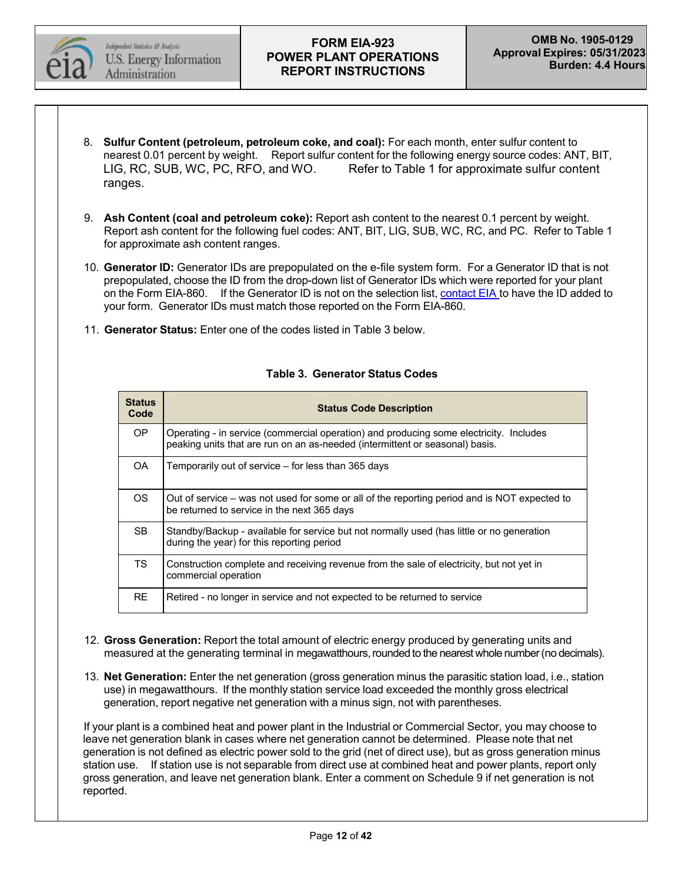

- 8. **Sulfur Content (petroleum, petroleum coke, and coal):** For each month, enter sulfur content to nearest 0.01 percent by weight. Report sulfur content for the following energy source codes: ANT, BIT, LIG, RC, SUB, WC, PC, RFO, and WO. Refer to Table 1 for approximate sulfur content ranges.
- 9. **Ash Content (coal and petroleum coke):** Report ash content to the nearest 0.1 percent by weight. Report ash content for the following fuel codes: ANT, BIT, LIG, SUB, WC, RC, and PC. Refer to Table 1 for approximate ash content ranges.
- 10. **Generator ID:** Generator IDs are prepopulated on the e-file system form. For a Generator ID that is not prepopulated, choose the ID from the drop-down list of Generator IDs which were reported for your plant on the Form EIA-860. If the Generator ID is not on the selection list, [contact](mailto:EIA-923@eia.gov) EIA to have the ID added to your form. Generator IDs must match those reported on the Form EIA-860.
- 11. **Generator Status:** Enter one of the codes listed in Table 3 below.

| <b>Status</b><br>Code | <b>Status Code Description</b>                                                                                                                                         |
|-----------------------|------------------------------------------------------------------------------------------------------------------------------------------------------------------------|
| OP.                   | Operating - in service (commercial operation) and producing some electricity. Includes<br>peaking units that are run on an as-needed (intermittent or seasonal) basis. |
| OA.                   | Temporarily out of service – for less than 365 days                                                                                                                    |
| OS.                   | Out of service – was not used for some or all of the reporting period and is NOT expected to<br>be returned to service in the next 365 days                            |
| SB.                   | Standby/Backup - available for service but not normally used (has little or no generation<br>during the year) for this reporting period                                |
| <b>TS</b>             | Construction complete and receiving revenue from the sale of electricity, but not yet in<br>commercial operation                                                       |
| RE.                   | Retired - no longer in service and not expected to be returned to service                                                                                              |

#### **Table 3. Generator Status Codes**

- 12. **Gross Generation:** Report the total amount of electric energy produced by generating units and measured at the generating terminal in megawatthours, rounded to the nearest whole number (no decimals).
- 13. **Net Generation:** Enter the net generation (gross generation minus the parasitic station load, i.e., station use) in megawatthours. If the monthly station service load exceeded the monthly gross electrical generation, report negative net generation with a minus sign, not with parentheses.

If your plant is a combined heat and power plant in the Industrial or Commercial Sector, you may choose to leave net generation blank in cases where net generation cannot be determined. Please note that net generation is not defined as electric power sold to the grid (net of direct use), but as gross generation minus station use. If station use is not separable from direct use at combined heat and power plants, report only gross generation, and leave net generation blank. Enter a comment on Schedule 9 if net generation is not reported.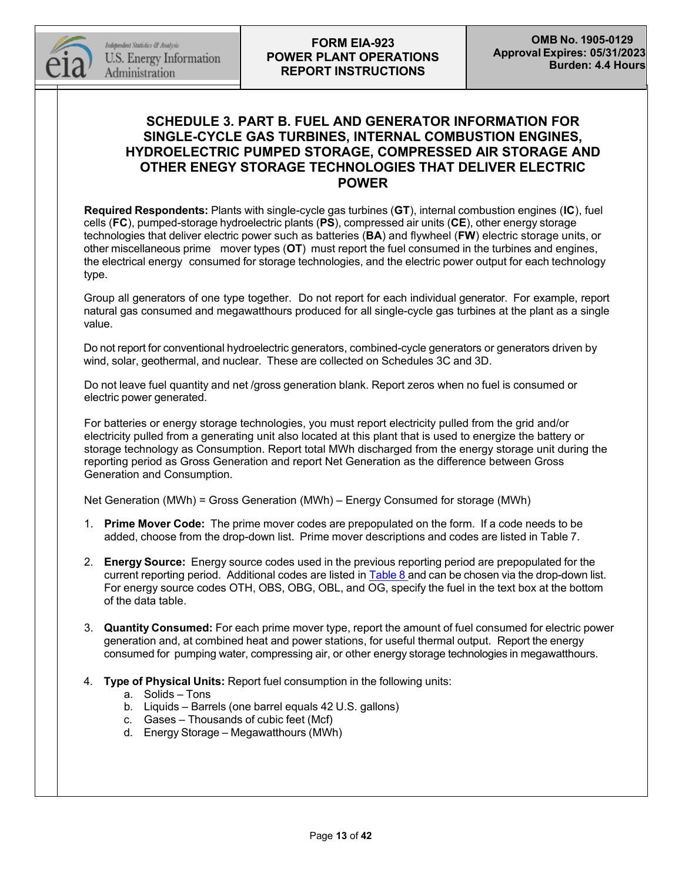

# **SCHEDULE 3. PART B. FUEL AND GENERATOR INFORMATION FOR SINGLE-CYCLE GAS TURBINES, INTERNAL COMBUSTION ENGINES, HYDROELECTRIC PUMPED STORAGE, COMPRESSED AIR STORAGE AND OTHER ENEGY STORAGE TECHNOLOGIES THAT DELIVER ELECTRIC POWER**

**Required Respondents:** Plants with single-cycle gas turbines (**GT**), internal combustion engines (**IC**), fuel cells (**FC**), pumped-storage hydroelectric plants (**PS**), compressed air units (**CE**), other energy storage technologies that deliver electric power such as batteries (**BA**) and flywheel (**FW**) electric storage units, or other miscellaneous prime mover types (**OT**) must report the fuel consumed in the turbines and engines, the electrical energy consumed for storage technologies, and the electric power output for each technology type.

Group all generators of one type together. Do not report for each individual generator. For example, report natural gas consumed and megawatthours produced for all single-cycle gas turbines at the plant as a single value.

Do not report for conventional hydroelectric generators, combined-cycle generators or generators driven by wind, solar, geothermal, and nuclear. These are collected on Schedules 3C and 3D.

Do not leave fuel quantity and net /gross generation blank. Report zeros when no fuel is consumed or electric power generated.

For batteries or energy storage technologies, you must report electricity pulled from the grid and/or electricity pulled from a generating unit also located at this plant that is used to energize the battery or storage technology as Consumption. Report total MWh discharged from the energy storage unit during the reporting period as Gross Generation and report Net Generation as the difference between Gross Generation and Consumption.

Net Generation (MWh) = Gross Generation (MWh) – Energy Consumed for storage (MWh)

- 1. **Prime Mover Code:** The prime mover codes are prepopulated on the form. If a code needs to be added, choose from the drop-down list. Prime mover descriptions and codes are listed in Table 7.
- 2. **Energy Source:** Energy source codes used in the previous reporting period are prepopulated for the current reporting period. Additional codes are listed in [Table](#page-32-0) 8 and can be chosen via the drop-down list. For energy source codes OTH, OBS, OBG, OBL, and OG, specify the fuel in the text box at the bottom of the data table.
- 3. **Quantity Consumed:** For each prime mover type, report the amount of fuel consumed for electric power generation and, at combined heat and power stations, for useful thermal output. Report the energy consumed for pumping water, compressing air, or other energy storage technologies in megawatthours.
- 4. **Type of Physical Units:** Report fuel consumption in the following units:

#### a. Solids – Tons

- b. Liquids Barrels (one barrel equals 42 U.S. gallons)
- c. Gases Thousands of cubic feet (Mcf)
- d. Energy Storage Megawatthours (MWh)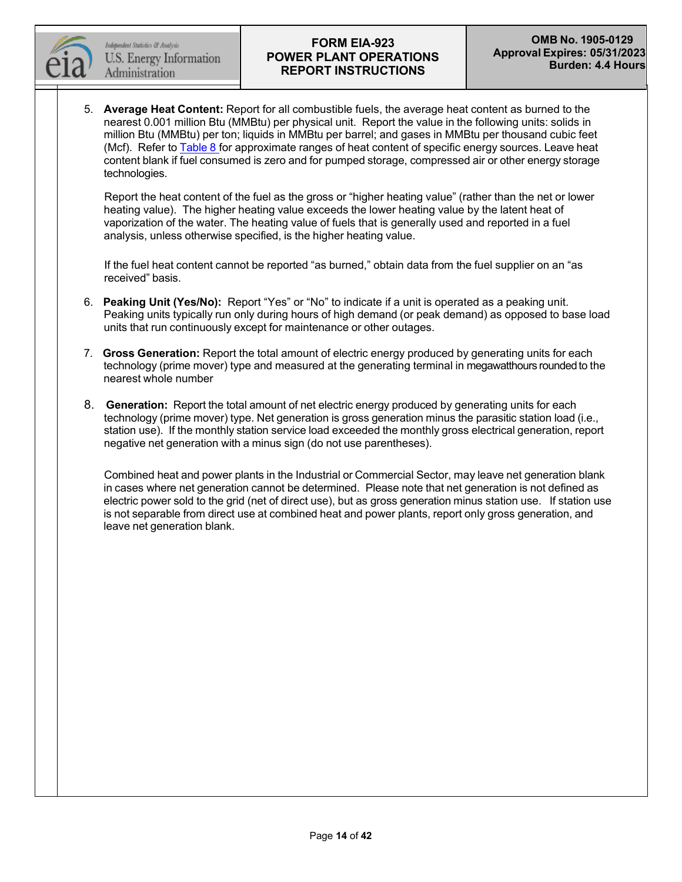

5. **Average Heat Content:** Report for all combustible fuels, the average heat content as burned to the nearest 0.001 million Btu (MMBtu) per physical unit. Report the value in the following units: solids in million Btu (MMBtu) per ton; liquids in MMBtu per barrel; and gases in MMBtu per thousand cubic feet (Mcf). Refer to [Table](#page-32-0) 8 for approximate ranges of heat content of specific energy sources. Leave heat content blank if fuel consumed is zero and for pumped storage, compressed air or other energy storage technologies.

Report the heat content of the fuel as the gross or "higher heating value" (rather than the net or lower heating value). The higher heating value exceeds the lower heating value by the latent heat of vaporization of the water. The heating value of fuels that is generally used and reported in a fuel analysis, unless otherwise specified, is the higher heating value.

If the fuel heat content cannot be reported "as burned," obtain data from the fuel supplier on an "as received" basis.

- 6. **Peaking Unit (Yes/No):** Report "Yes" or "No" to indicate if a unit is operated as a peaking unit. Peaking units typically run only during hours of high demand (or peak demand) as opposed to base load units that run continuously except for maintenance or other outages.
- 7. **Gross Generation:** Report the total amount of electric energy produced by generating units for each technology (prime mover) type and measured at the generating terminal in megawatthours roundedto the nearest whole number
- 8. **Generation:** Report the total amount of net electric energy produced by generating units for each technology (prime mover) type. Net generation is gross generation minus the parasitic station load (i.e., station use). If the monthly station service load exceeded the monthly gross electrical generation, report negative net generation with a minus sign (do not use parentheses).

Combined heat and power plants in the Industrial or Commercial Sector, may leave net generation blank in cases where net generation cannot be determined. Please note that net generation is not defined as electric power sold to the grid (net of direct use), but as gross generation minus station use. If station use is not separable from direct use at combined heat and power plants, report only gross generation, and leave net generation blank.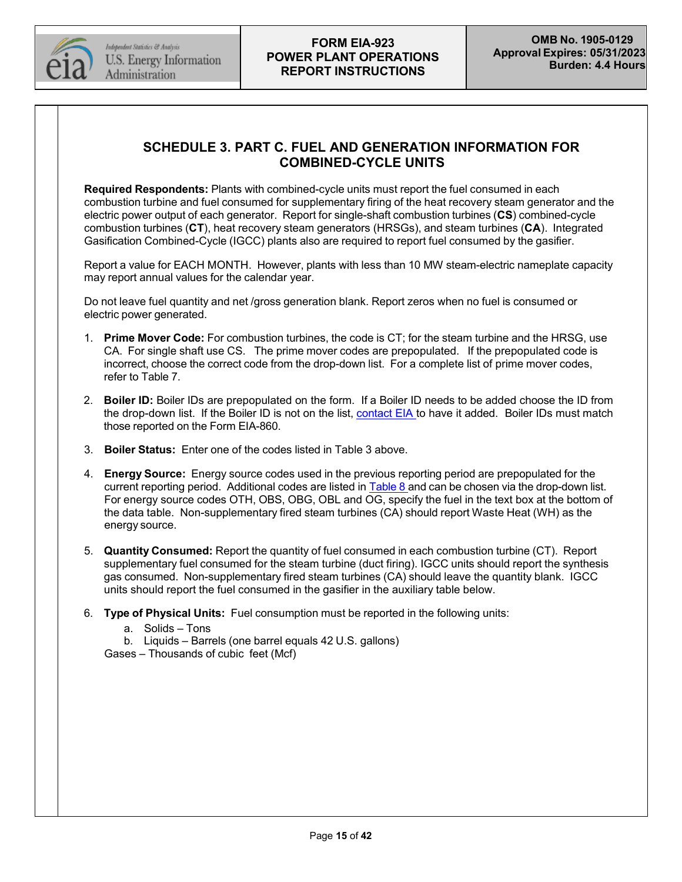

# **SCHEDULE 3. PART C. FUEL AND GENERATION INFORMATION FOR COMBINED-CYCLE UNITS**

**Required Respondents:** Plants with combined-cycle units must report the fuel consumed in each combustion turbine and fuel consumed for supplementary firing of the heat recovery steam generator and the electric power output of each generator. Report for single-shaft combustion turbines (**CS**) combined-cycle combustion turbines (**CT**), heat recovery steam generators (HRSGs), and steam turbines (**CA**). Integrated Gasification Combined-Cycle (IGCC) plants also are required to report fuel consumed by the gasifier.

Report a value for EACH MONTH. However, plants with less than 10 MW steam-electric nameplate capacity may report annual values for the calendar year.

Do not leave fuel quantity and net /gross generation blank. Report zeros when no fuel is consumed or electric power generated.

- 1. **Prime Mover Code:** For combustion turbines, the code is CT; for the steam turbine and the HRSG, use CA. For single shaft use CS. The prime mover codes are prepopulated. If the prepopulated code is incorrect, choose the correct code from the drop-down list. For a complete list of prime mover codes, refer to Table 7.
- 2. **Boiler ID:** Boiler IDs are prepopulated on the form. If a Boiler ID needs to be added choose the ID from the drop-down list. If the Boiler ID is not on the list, [contact](mailto:EIA-923@eia.gov) EIA to have it added. Boiler IDs must match those reported on the Form EIA-860.
- 3. **Boiler Status:** Enter one of the codes listed in Table 3 above.
- 4. **Energy Source:** Energy source codes used in the previous reporting period are prepopulated for the current reporting period. Additional codes are listed in [Table](#page-32-0) 8 and can be chosen via the drop-down list. For energy source codes OTH, OBS, OBG, OBL and OG, specify the fuel in the text box at the bottom of the data table. Non-supplementary fired steam turbines (CA) should report Waste Heat (WH) as the energy source.
- 5. **Quantity Consumed:** Report the quantity of fuel consumed in each combustion turbine (CT). Report supplementary fuel consumed for the steam turbine (duct firing). IGCC units should report the synthesis gas consumed. Non-supplementary fired steam turbines (CA) should leave the quantity blank. IGCC units should report the fuel consumed in the gasifier in the auxiliary table below.
- 6. **Type of Physical Units:** Fuel consumption must be reported in the following units:
	- a. Solids Tons
	- b. Liquids Barrels (one barrel equals 42 U.S. gallons)

Gases – Thousands of cubic feet (Mcf)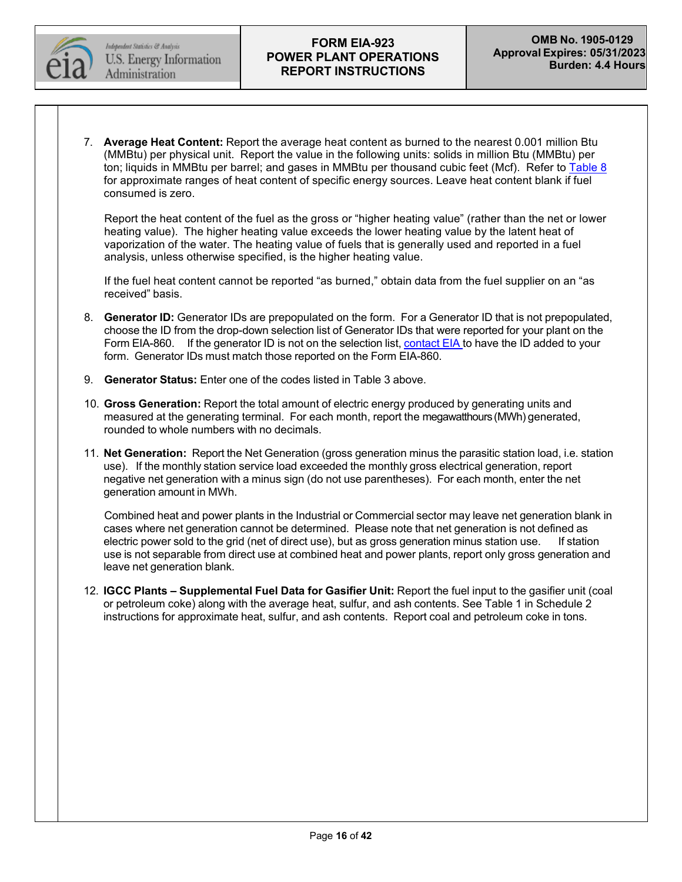

7. **Average Heat Content:** Report the average heat content as burned to the nearest 0.001 million Btu (MMBtu) per physical unit. Report the value in the following units: solids in million Btu (MMBtu) per ton; liquids in MMBtu per barrel; and gases in MMBtu per thousand cubic feet (Mcf). Refer to [Table](#page-32-0) 8 for approximate ranges of heat content of specific energy sources. Leave heat content blank if fuel consumed is zero.

Report the heat content of the fuel as the gross or "higher heating value" (rather than the net or lower heating value). The higher heating value exceeds the lower heating value by the latent heat of vaporization of the water. The heating value of fuels that is generally used and reported in a fuel analysis, unless otherwise specified, is the higher heating value.

If the fuel heat content cannot be reported "as burned," obtain data from the fuel supplier on an "as received" basis.

- 8. **Generator ID:** Generator IDs are prepopulated on the form. For a Generator ID that is not prepopulated, choose the ID from the drop-down selection list of Generator IDs that were reported for your plant on the Form EIA-860. If the generator ID is not on the selection list, [contact](mailto:EIA-923@eia.gov) EIA to have the ID added to your form. Generator IDs must match those reported on the Form EIA-860.
- 9. **Generator Status:** Enter one of the codes listed in Table 3 above.
- 10. **Gross Generation:** Report the total amount of electric energy produced by generating units and measured at the generating terminal. For each month, report the megawatthours (MWh) generated, rounded to whole numbers with no decimals.
- 11. **Net Generation:** Report the Net Generation (gross generation minus the parasitic station load, i.e. station use). If the monthly station service load exceeded the monthly gross electrical generation, report negative net generation with a minus sign (do not use parentheses). For each month, enter the net generation amount in MWh.

Combined heat and power plants in the Industrial or Commercial sector may leave net generation blank in cases where net generation cannot be determined. Please note that net generation is not defined as electric power sold to the grid (net of direct use), but as gross generation minus station use. If station use is not separable from direct use at combined heat and power plants, report only gross generation and leave net generation blank.

12. **IGCC Plants – Supplemental Fuel Data for Gasifier Unit:** Report the fuel input to the gasifier unit (coal or petroleum coke) along with the average heat, sulfur, and ash contents. See Table 1 in Schedule 2 instructions for approximate heat, sulfur, and ash contents. Report coal and petroleum coke in tons.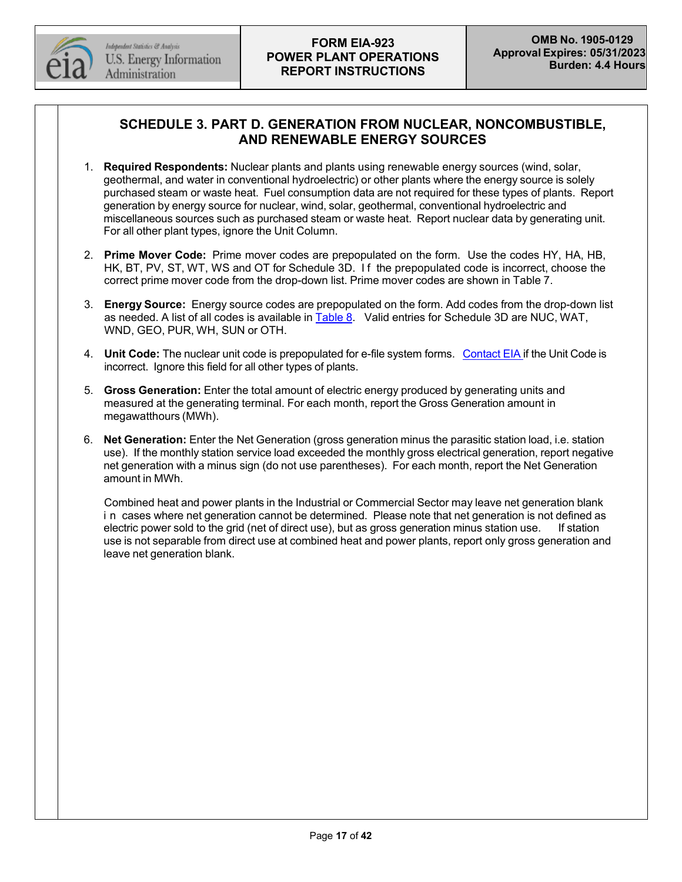

# **SCHEDULE 3. PART D. GENERATION FROM NUCLEAR, NONCOMBUSTIBLE, AND RENEWABLE ENERGY SOURCES**

- 1. **Required Respondents:** Nuclear plants and plants using renewable energy sources (wind, solar, geothermal, and water in conventional hydroelectric) or other plants where the energy source is solely purchased steam or waste heat. Fuel consumption data are not required for these types of plants. Report generation by energy source for nuclear, wind, solar, geothermal, conventional hydroelectric and miscellaneous sources such as purchased steam or waste heat. Report nuclear data by generating unit. For all other plant types, ignore the Unit Column.
- 2. **Prime Mover Code:** Prime mover codes are prepopulated on the form. Use the codes HY, HA, HB, HK, BT, PV, ST, WT, WS and OT for Schedule 3D. I f the prepopulated code is incorrect, choose the correct prime mover code from the drop-down list. Prime mover codes are shown in Table 7.
- 3. **Energy Source:** Energy source codes are prepopulated on the form. Add codes from the drop-down list as needed. A list of all codes is available in [Table](#page-32-0) 8. Valid entries for Schedule 3D are NUC, WAT, WND, GEO, PUR, WH, SUN or OTH.
- 4. **Unit Code:** The nuclear unit code is prepopulated for e-file system forms. [Contact](mailto:EIA-923@eia.gov) EIA if the Unit Code is incorrect. Ignore this field for all other types of plants.
- 5. **Gross Generation:** Enter the total amount of electric energy produced by generating units and measured at the generating terminal. For each month, report the Gross Generation amount in megawatthours (MWh).
- 6. **Net Generation:** Enter the Net Generation (gross generation minus the parasitic station load, i.e. station use). If the monthly station service load exceeded the monthly gross electrical generation, report negative net generation with a minus sign (do not use parentheses). For each month, report the Net Generation amount in MWh.

Combined heat and power plants in the Industrial or Commercial Sector may leave net generation blank i n cases where net generation cannot be determined. Please note that net generation is not defined as electric power sold to the grid (net of direct use), but as gross generation minus station use. If station use is not separable from direct use at combined heat and power plants, report only gross generation and leave net generation blank.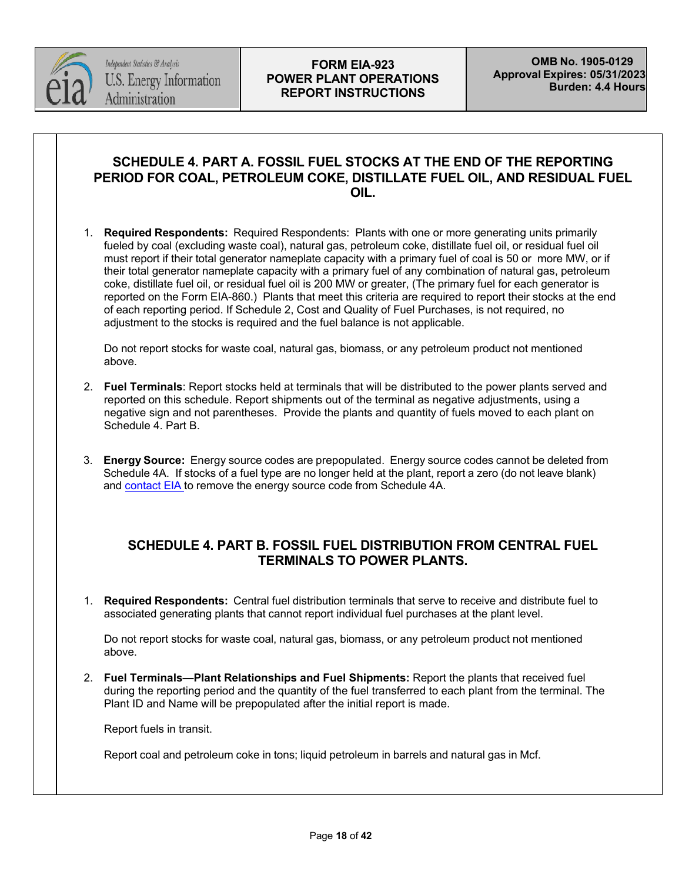

# **SCHEDULE 4. PART A. FOSSIL FUEL STOCKS AT THE END OF THE REPORTING PERIOD FOR COAL, PETROLEUM COKE, DISTILLATE FUEL OIL, AND RESIDUAL FUEL OIL.**

1. **Required Respondents:** Required Respondents: Plants with one or more generating units primarily fueled by coal (excluding waste coal), natural gas, petroleum coke, distillate fuel oil, or residual fuel oil must report if their total generator nameplate capacity with a primary fuel of coal is 50 or more MW, or if their total generator nameplate capacity with a primary fuel of any combination of natural gas, petroleum coke, distillate fuel oil, or residual fuel oil is 200 MW or greater, (The primary fuel for each generator is reported on the Form EIA-860.) Plants that meet this criteria are required to report their stocks at the end of each reporting period. If Schedule 2, Cost and Quality of Fuel Purchases, is not required, no adjustment to the stocks is required and the fuel balance is not applicable.

Do not report stocks for waste coal, natural gas, biomass, or any petroleum product not mentioned above.

- 2. **Fuel Terminals**: Report stocks held at terminals that will be distributed to the power plants served and reported on this schedule. Report shipments out of the terminal as negative adjustments, using a negative sign and not parentheses. Provide the plants and quantity of fuels moved to each plant on Schedule 4. Part B.
- 3. **Energy Source:** Energy source codes are prepopulated. Energy source codes cannot be deleted from Schedule 4A. If stocks of a fuel type are no longer held at the plant, report a zero (do not leave blank) and [contact](mailto:EIA-923@eia.gov) EIA to remove the energy source code from Schedule 4A.

## **SCHEDULE 4. PART B. FOSSIL FUEL DISTRIBUTION FROM CENTRAL FUEL TERMINALS TO POWER PLANTS.**

1. **Required Respondents:** Central fuel distribution terminals that serve to receive and distribute fuel to associated generating plants that cannot report individual fuel purchases at the plant level.

Do not report stocks for waste coal, natural gas, biomass, or any petroleum product not mentioned above.

2. **Fuel Terminals—Plant Relationships and Fuel Shipments:** Report the plants that received fuel during the reporting period and the quantity of the fuel transferred to each plant from the terminal. The Plant ID and Name will be prepopulated after the initial report is made.

Report fuels in transit.

Report coal and petroleum coke in tons; liquid petroleum in barrels and natural gas in Mcf.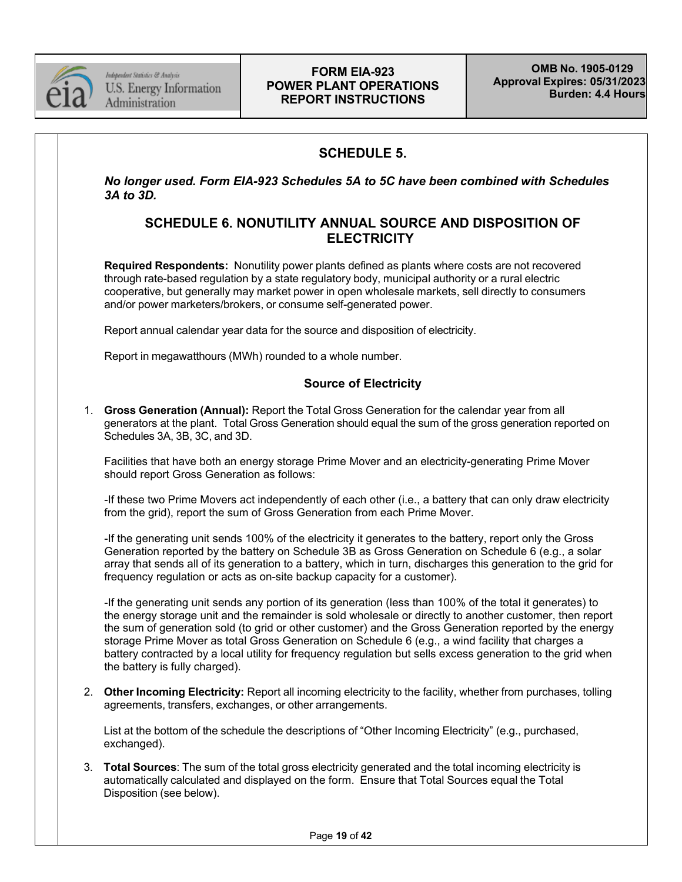

Independent Statistics & Analysis U.S. Energy Information Administration

## **FORM EIA-923 POWER PLANT OPERATIONS REPORT INSTRUCTIONS**

# **SCHEDULE 5.**

*No longer used. Form EIA-923 Schedules 5A to 5C have been combined with Schedules 3A to 3D.*

## **SCHEDULE 6. NONUTILITY ANNUAL SOURCE AND DISPOSITION OF ELECTRICITY**

**Required Respondents:** Nonutility power plants defined as plants where costs are not recovered through rate-based regulation by a state regulatory body, municipal authority or a rural electric cooperative, but generally may market power in open wholesale markets, sell directly to consumers and/or power marketers/brokers, or consume self-generated power.

Report annual calendar year data for the source and disposition of electricity.

Report in megawatthours (MWh) rounded to a whole number.

## **Source of Electricity**

1. **Gross Generation (Annual):** Report the Total Gross Generation for the calendar year from all generators at the plant. Total Gross Generation should equal the sum of the gross generation reported on Schedules 3A, 3B, 3C, and 3D.

Facilities that have both an energy storage Prime Mover and an electricity-generating Prime Mover should report Gross Generation as follows:

-If these two Prime Movers act independently of each other (i.e., a battery that can only draw electricity from the grid), report the sum of Gross Generation from each Prime Mover.

-If the generating unit sends 100% of the electricity it generates to the battery, report only the Gross Generation reported by the battery on Schedule 3B as Gross Generation on Schedule 6 (e.g., a solar array that sends all of its generation to a battery, which in turn, discharges this generation to the grid for frequency regulation or acts as on-site backup capacity for a customer).

-If the generating unit sends any portion of its generation (less than 100% of the total it generates) to the energy storage unit and the remainder is sold wholesale or directly to another customer, then report the sum of generation sold (to grid or other customer) and the Gross Generation reported by the energy storage Prime Mover as total Gross Generation on Schedule 6 (e.g., a wind facility that charges a battery contracted by a local utility for frequency regulation but sells excess generation to the grid when the battery is fully charged).

2. **Other Incoming Electricity:** Report all incoming electricity to the facility, whether from purchases, tolling agreements, transfers, exchanges, or other arrangements.

List at the bottom of the schedule the descriptions of "Other Incoming Electricity" (e.g., purchased, exchanged).

3. **Total Sources**: The sum of the total gross electricity generated and the total incoming electricity is automatically calculated and displayed on the form. Ensure that Total Sources equal the Total Disposition (see below).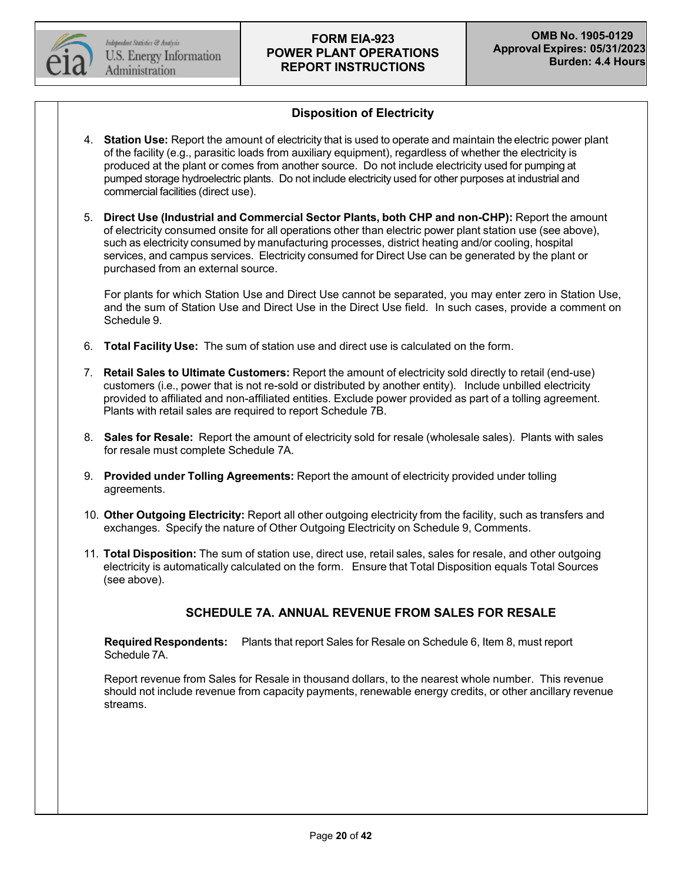

## **Disposition of Electricity**

- 4. **Station Use:** Report the amount of electricity that is used to operate and maintain the electric power plant of the facility (e.g., parasitic loads from auxiliary equipment), regardless of whether the electricity is produced at the plant or comes from another source. Do not include electricity used for pumping at pumped storage hydroelectric plants. Do not include electricity used for other purposes at industrial and commercial facilities (direct use).
- 5. **Direct Use (Industrial and Commercial Sector Plants, both CHP and non-CHP):** Report the amount of electricity consumed onsite for all operations other than electric power plant station use (see above), such as electricity consumed by manufacturing processes, district heating and/or cooling, hospital services, and campus services. Electricity consumed for Direct Use can be generated by the plant or purchased from an external source.

For plants for which Station Use and Direct Use cannot be separated, you may enter zero in Station Use, and the sum of Station Use and Direct Use in the Direct Use field. In such cases, provide a comment on Schedule 9.

- 6. **Total Facility Use:** The sum of station use and direct use is calculated on the form.
- 7. **Retail Sales to Ultimate Customers:** Report the amount of electricity sold directly to retail (end-use) customers (i.e., power that is not re-sold or distributed by another entity). Include unbilled electricity provided to affiliated and non-affiliated entities. Exclude power provided as part of a tolling agreement. Plants with retail sales are required to report Schedule 7B.
- 8. **Sales for Resale:** Report the amount of electricity sold for resale (wholesale sales). Plants with sales for resale must complete Schedule 7A.
- 9. **Provided under Tolling Agreements:** Report the amount of electricity provided under tolling agreements.
- 10. **Other Outgoing Electricity:** Report all other outgoing electricity from the facility, such as transfers and exchanges. Specify the nature of Other Outgoing Electricity on Schedule 9, Comments.
- 11. **Total Disposition:** The sum of station use, direct use, retail sales, sales for resale, and other outgoing electricity is automatically calculated on the form. Ensure that Total Disposition equals Total Sources (see above).

## **SCHEDULE 7A. ANNUAL REVENUE FROM SALES FOR RESALE**

**Required Respondents:** Plants that report Sales for Resale on Schedule 6, Item 8, must report Schedule 7A.

Report revenue from Sales for Resale in thousand dollars, to the nearest whole number. This revenue should not include revenue from capacity payments, renewable energy credits, or other ancillary revenue streams.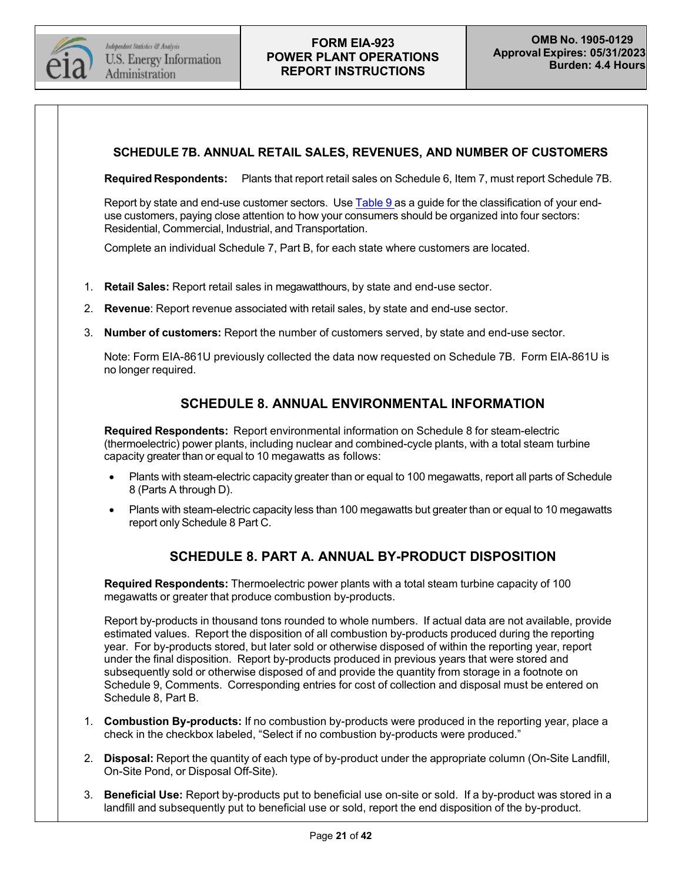

#### **SCHEDULE 7B. ANNUAL RETAIL SALES, REVENUES, AND NUMBER OF CUSTOMERS**

**Required Respondents:** Plants that report retail sales on Schedule 6, Item 7, must report Schedule 7B.

Report by state and end-use customer sectors. Use [Table](#page-34-0) 9 as a guide for the classification of your enduse customers, paying close attention to how your consumers should be organized into four sectors: Residential, Commercial, Industrial, and Transportation.

Complete an individual Schedule 7, Part B, for each state where customers are located.

- 1. **Retail Sales:** Report retail sales in megawatthours, by state and end-use sector.
- 2. **Revenue**: Report revenue associated with retail sales, by state and end-use sector.
- 3. **Number of customers:** Report the number of customers served, by state and end-use sector.

Note: Form EIA-861U previously collected the data now requested on Schedule 7B. Form EIA-861U is no longer required.

## **SCHEDULE 8. ANNUAL ENVIRONMENTAL INFORMATION**

**Required Respondents:** Report environmental information on Schedule 8 for steam-electric (thermoelectric) power plants, including nuclear and combined-cycle plants, with a total steam turbine capacity greater than or equal to 10 megawatts as follows:

- Plants with steam-electric capacity greater than or equal to 100 megawatts, report all parts of Schedule 8 (Parts A through D).
- Plants with steam-electric capacity less than 100 megawatts but greater than or equal to 10 megawatts report only Schedule 8 Part C.

# **SCHEDULE 8. PART A. ANNUAL BY-PRODUCT DISPOSITION**

**Required Respondents:** Thermoelectric power plants with a total steam turbine capacity of 100 megawatts or greater that produce combustion by-products.

Report by-products in thousand tons rounded to whole numbers. If actual data are not available, provide estimated values. Report the disposition of all combustion by-products produced during the reporting year. For by-products stored, but later sold or otherwise disposed of within the reporting year, report under the final disposition. Report by-products produced in previous years that were stored and subsequently sold or otherwise disposed of and provide the quantity from storage in a footnote on Schedule 9, Comments. Corresponding entries for cost of collection and disposal must be entered on Schedule 8, Part B.

- 1. **Combustion By-products:** If no combustion by-products were produced in the reporting year, place a check in the checkbox labeled, "Select if no combustion by-products were produced."
- 2. **Disposal:** Report the quantity of each type of by-product under the appropriate column (On-Site Landfill, On-Site Pond, or Disposal Off-Site).
- 3. **Beneficial Use:** Report by-products put to beneficial use on-site or sold. If a by-product was stored in a landfill and subsequently put to beneficial use or sold, report the end disposition of the by-product.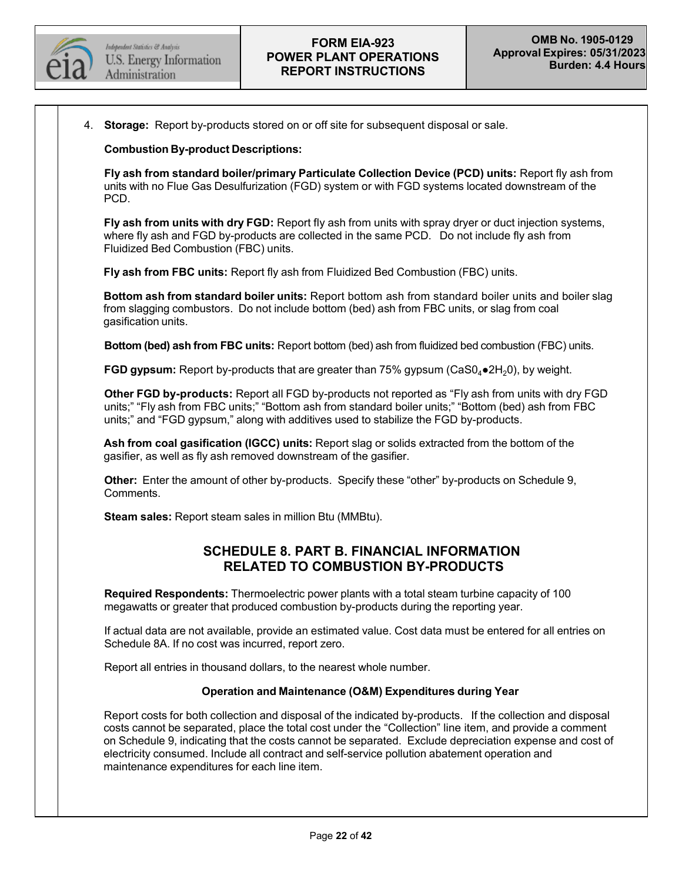

4. **Storage:** Report by-products stored on or off site for subsequent disposal or sale.

#### **Combustion By-product Descriptions:**

**Fly ash from standard boiler/primary Particulate Collection Device (PCD) units:** Report fly ash from units with no Flue Gas Desulfurization (FGD) system or with FGD systems located downstream of the PCD.

**Fly ash from units with dry FGD:** Report fly ash from units with spray dryer or duct injection systems, where fly ash and FGD by-products are collected in the same PCD. Do not include fly ash from Fluidized Bed Combustion (FBC) units.

**Fly ash from FBC units:** Report fly ash from Fluidized Bed Combustion (FBC) units.

**Bottom ash from standard boiler units:** Report bottom ash from standard boiler units and boiler slag from slagging combustors. Do not include bottom (bed) ash from FBC units, or slag from coal gasification units.

**Bottom (bed) ash from FBC units:** Report bottom (bed) ash from fluidized bed combustion (FBC) units.

**FGD gypsum:** Report by-products that are greater than 75% gypsum (CaS0<sub>4</sub>●2H<sub>2</sub>0), by weight.

**Other FGD by-products:** Report all FGD by-products not reported as "Fly ash from units with dry FGD units;" "Fly ash from FBC units;" "Bottom ash from standard boiler units;" "Bottom (bed) ash from FBC units;" and "FGD gypsum," along with additives used to stabilize the FGD by-products.

**Ash from coal gasification (IGCC) units:** Report slag or solids extracted from the bottom of the gasifier, as well as fly ash removed downstream of the gasifier.

**Other:** Enter the amount of other by-products. Specify these "other" by-products on Schedule 9, Comments.

**Steam sales:** Report steam sales in million Btu (MMBtu).

## **SCHEDULE 8. PART B. FINANCIAL INFORMATION RELATED TO COMBUSTION BY-PRODUCTS**

**Required Respondents:** Thermoelectric power plants with a total steam turbine capacity of 100 megawatts or greater that produced combustion by-products during the reporting year.

If actual data are not available, provide an estimated value. Cost data must be entered for all entries on Schedule 8A. If no cost was incurred, report zero.

Report all entries in thousand dollars, to the nearest whole number.

#### **Operation and Maintenance (O&M) Expenditures during Year**

Report costs for both collection and disposal of the indicated by-products. If the collection and disposal costs cannot be separated, place the total cost under the "Collection" line item, and provide a comment on Schedule 9, indicating that the costs cannot be separated. Exclude depreciation expense and cost of electricity consumed. Include all contract and self-service pollution abatement operation and maintenance expenditures for each line item.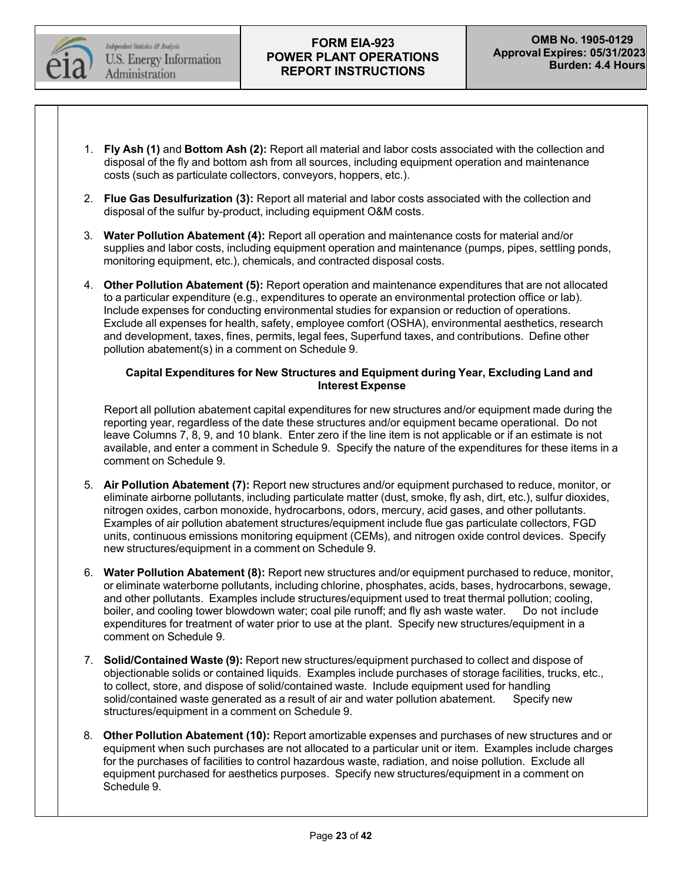

- 1. **Fly Ash (1)** and **Bottom Ash (2):** Report all material and labor costs associated with the collection and disposal of the fly and bottom ash from all sources, including equipment operation and maintenance costs (such as particulate collectors, conveyors, hoppers, etc.).
- 2. **Flue Gas Desulfurization (3):** Report all material and labor costs associated with the collection and disposal of the sulfur by-product, including equipment O&M costs.
- 3. **Water Pollution Abatement (4):** Report all operation and maintenance costs for material and/or supplies and labor costs, including equipment operation and maintenance (pumps, pipes, settling ponds, monitoring equipment, etc.), chemicals, and contracted disposal costs.
- 4. **Other Pollution Abatement (5):** Report operation and maintenance expenditures that are not allocated to a particular expenditure (e.g., expenditures to operate an environmental protection office or lab). Include expenses for conducting environmental studies for expansion or reduction of operations. Exclude all expenses for health, safety, employee comfort (OSHA), environmental aesthetics, research and development, taxes, fines, permits, legal fees, Superfund taxes, and contributions. Define other pollution abatement(s) in a comment on Schedule 9.

#### **Capital Expenditures for New Structures and Equipment during Year, Excluding Land and Interest Expense**

Report all pollution abatement capital expenditures for new structures and/or equipment made during the reporting year, regardless of the date these structures and/or equipment became operational. Do not leave Columns 7, 8, 9, and 10 blank. Enter zero if the line item is not applicable or if an estimate is not available, and enter a comment in Schedule 9. Specify the nature of the expenditures for these items in a comment on Schedule 9.

- 5. **Air Pollution Abatement (7):** Report new structures and/or equipment purchased to reduce, monitor, or eliminate airborne pollutants, including particulate matter (dust, smoke, fly ash, dirt, etc.), sulfur dioxides, nitrogen oxides, carbon monoxide, hydrocarbons, odors, mercury, acid gases, and other pollutants. Examples of air pollution abatement structures/equipment include flue gas particulate collectors, FGD units, continuous emissions monitoring equipment (CEMs), and nitrogen oxide control devices. Specify new structures/equipment in a comment on Schedule 9.
- 6. **Water Pollution Abatement (8):** Report new structures and/or equipment purchased to reduce, monitor, or eliminate waterborne pollutants, including chlorine, phosphates, acids, bases, hydrocarbons, sewage, and other pollutants. Examples include structures/equipment used to treat thermal pollution; cooling, boiler, and cooling tower blowdown water; coal pile runoff; and fly ash waste water. Do not include expenditures for treatment of water prior to use at the plant. Specify new structures/equipment in a comment on Schedule 9.
- 7. **Solid/Contained Waste (9):** Report new structures/equipment purchased to collect and dispose of objectionable solids or contained liquids. Examples include purchases of storage facilities, trucks, etc., to collect, store, and dispose of solid/contained waste. Include equipment used for handling solid/contained waste generated as a result of air and water pollution abatement. structures/equipment in a comment on Schedule 9.
- 8. **Other Pollution Abatement (10):** Report amortizable expenses and purchases of new structures and or equipment when such purchases are not allocated to a particular unit or item. Examples include charges for the purchases of facilities to control hazardous waste, radiation, and noise pollution. Exclude all equipment purchased for aesthetics purposes. Specify new structures/equipment in a comment on Schedule 9.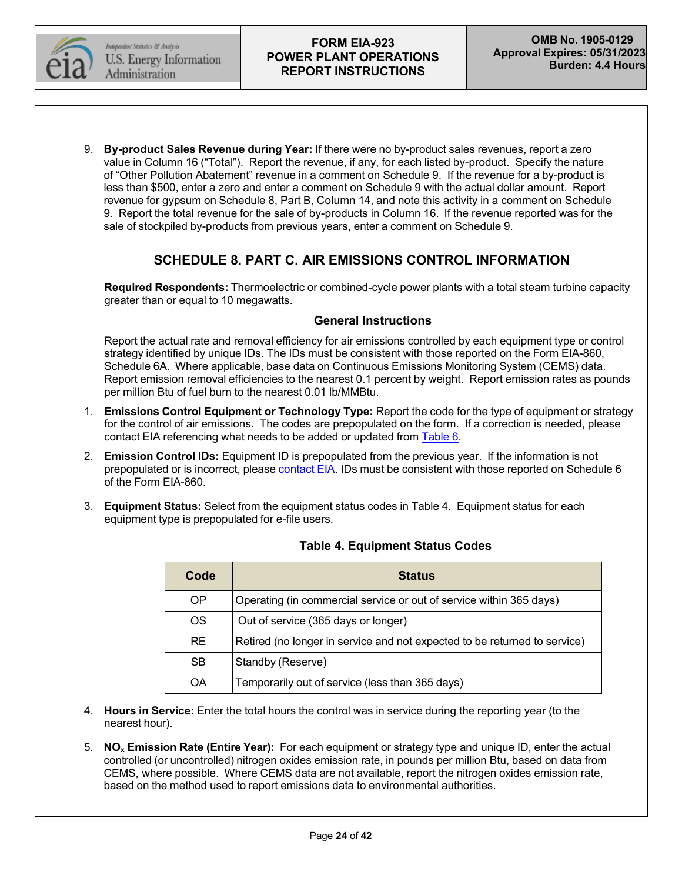

9. **By-product Sales Revenue during Year:** If there were no by-product sales revenues, report a zero value in Column 16 ("Total"). Report the revenue, if any, for each listed by-product. Specify the nature of "Other Pollution Abatement" revenue in a comment on Schedule 9. If the revenue for a by-product is less than \$500, enter a zero and enter a comment on Schedule 9 with the actual dollar amount. Report revenue for gypsum on Schedule 8, Part B, Column 14, and note this activity in a comment on Schedule 9. Report the total revenue for the sale of by-products in Column 16. If the revenue reported was for the sale of stockpiled by-products from previous years, enter a comment on Schedule 9.

# **SCHEDULE 8. PART C. AIR EMISSIONS CONTROL INFORMATION**

**Required Respondents:** Thermoelectric or combined-cycle power plants with a total steam turbine capacity greater than or equal to 10 megawatts.

#### **General Instructions**

Report the actual rate and removal efficiency for air emissions controlled by each equipment type or control strategy identified by unique IDs. The IDs must be consistent with those reported on the Form EIA-860, Schedule 6A. Where applicable, base data on Continuous Emissions Monitoring System (CEMS) data. Report emission removal efficiencies to the nearest 0.1 percent by weight. Report emission rates as pounds per million Btu of fuel burn to the nearest 0.01 lb/MMBtu.

- 1. **Emissions Control Equipment or Technology Type:** Report the code for the type of equipment or strategy for the control of air emissions. The codes are prepopulated on the form. If a correction is needed, please contact EIA referencing what needs to be added or updated from [Table](#page-30-0) 6.
- 2. **Emission Control IDs:** Equipment ID is prepopulated from the previous year. If the information is not prepopulated or is incorrect, please [contact](mailto:EIA-923@eia.gov) EIA. IDs must be consistent with those reported on Schedule 6 of the Form EIA-860.
- 3. **Equipment Status:** Select from the equipment status codes in Table 4. Equipment status for each equipment type is prepopulated for e-file users.

| Code      | <b>Status</b>                                                             |
|-----------|---------------------------------------------------------------------------|
| <b>OP</b> | Operating (in commercial service or out of service within 365 days)       |
| OS.       | Out of service (365 days or longer)                                       |
| <b>RE</b> | Retired (no longer in service and not expected to be returned to service) |
| <b>SB</b> | Standby (Reserve)                                                         |
| OA        | Temporarily out of service (less than 365 days)                           |

## **Table 4. Equipment Status Codes**

- 4. **Hours in Service:** Enter the total hours the control was in service during the reporting year (to the nearest hour).
- 5. **NOx Emission Rate (Entire Year):** For each equipment or strategy type and unique ID, enter the actual controlled (or uncontrolled) nitrogen oxides emission rate, in pounds per million Btu, based on data from CEMS, where possible. Where CEMS data are not available, report the nitrogen oxides emission rate, based on the method used to report emissions data to environmental authorities.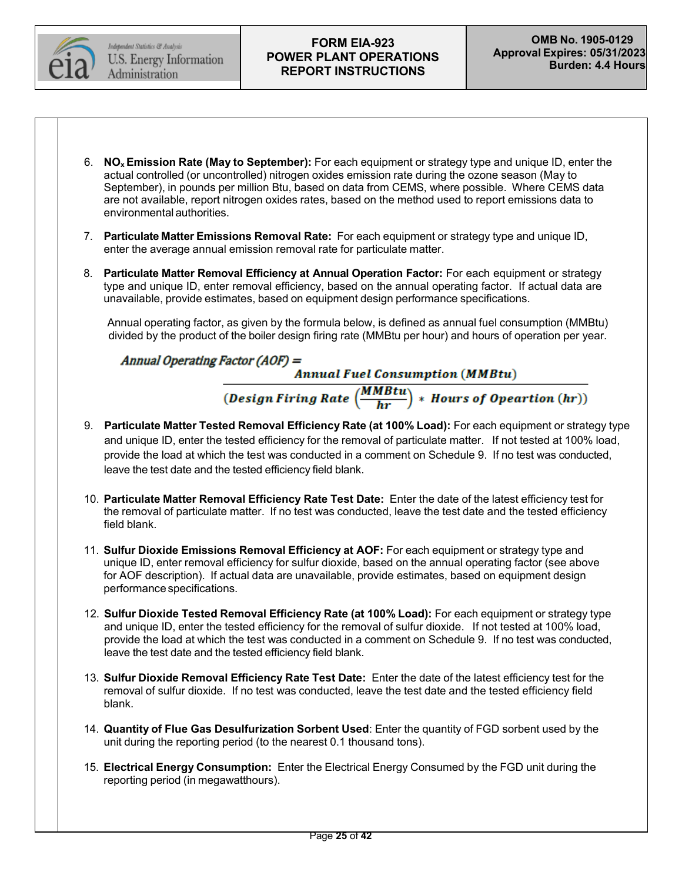

- 6. **NOxEmission Rate (May to September):** For each equipment or strategy type and unique ID, enter the actual controlled (or uncontrolled) nitrogen oxides emission rate during the ozone season (May to September), in pounds per million Btu, based on data from CEMS, where possible. Where CEMS data are not available, report nitrogen oxides rates, based on the method used to report emissions data to environmental authorities.
- 7. **Particulate Matter Emissions Removal Rate:** For each equipment or strategy type and unique ID, enter the average annual emission removal rate for particulate matter.
- 8. **Particulate Matter Removal Efficiency at Annual Operation Factor:** For each equipment or strategy type and unique ID, enter removal efficiency, based on the annual operating factor. If actual data are unavailable, provide estimates, based on equipment design performance specifications.

Annual operating factor, as given by the formula below, is defined as annual fuel consumption (MMBtu) divided by the product of the boiler design firing rate (MMBtu per hour) and hours of operation per year.

Annual Operating Factor (AOF) =

**Annual Fuel Consumption (MMBtu)** 

 $\overline{\left( \textit{Design Firing Rate} \left( \frac{\textit{MMBtu}}{\textit{hr}} \right) * \textit{House of Operation (hr)} \right)}$ 

- 9. **Particulate Matter Tested Removal Efficiency Rate (at 100% Load):** For each equipment or strategy type and unique ID, enter the tested efficiency for the removal of particulate matter. If not tested at 100% load, provide the load at which the test was conducted in a comment on Schedule 9. If no test was conducted, leave the test date and the tested efficiency field blank.
- 10. **Particulate Matter Removal Efficiency Rate Test Date:** Enter the date of the latest efficiency test for the removal of particulate matter. If no test was conducted, leave the test date and the tested efficiency field blank.
- 11. **Sulfur Dioxide Emissions Removal Efficiency at AOF:** For each equipment or strategy type and unique ID, enter removal efficiency for sulfur dioxide, based on the annual operating factor (see above for AOF description). If actual data are unavailable, provide estimates, based on equipment design performance specifications.
- 12. **Sulfur Dioxide Tested Removal Efficiency Rate (at 100% Load):** For each equipment or strategy type and unique ID, enter the tested efficiency for the removal of sulfur dioxide. If not tested at 100% load, provide the load at which the test was conducted in a comment on Schedule 9. If no test was conducted, leave the test date and the tested efficiency field blank.
- 13. **Sulfur Dioxide Removal Efficiency Rate Test Date:** Enter the date of the latest efficiency test for the removal of sulfur dioxide. If no test was conducted, leave the test date and the tested efficiency field blank.
- 14. **Quantity of Flue Gas Desulfurization Sorbent Used**: Enter the quantity of FGD sorbent used by the unit during the reporting period (to the nearest 0.1 thousand tons).
- 15. **Electrical Energy Consumption:** Enter the Electrical Energy Consumed by the FGD unit during the reporting period (in megawatthours).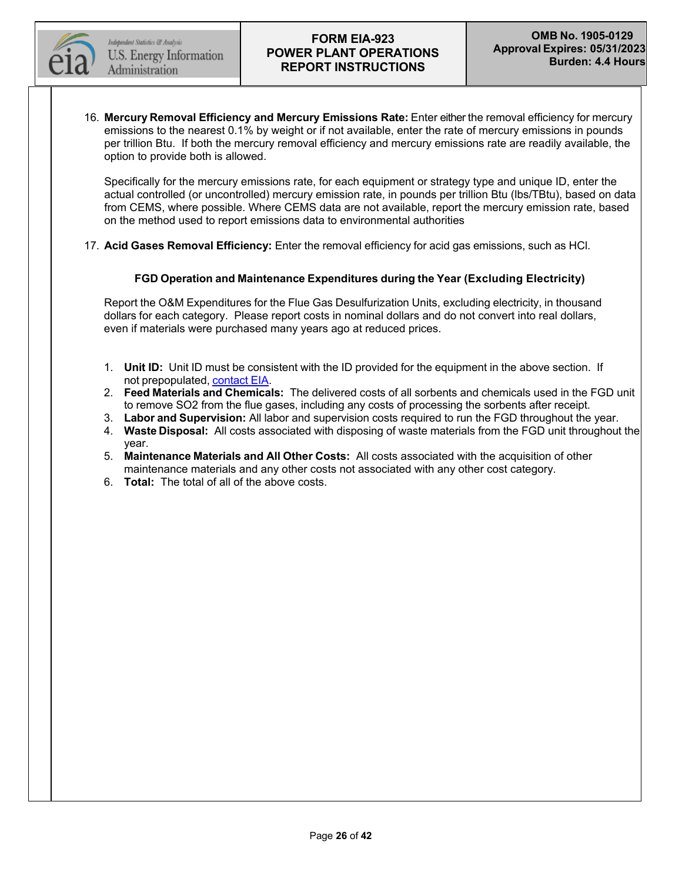

16. **Mercury Removal Efficiency and Mercury Emissions Rate:** Enter either the removal efficiency for mercury emissions to the nearest 0.1% by weight or if not available, enter the rate of mercury emissions in pounds per trillion Btu. If both the mercury removal efficiency and mercury emissions rate are readily available, the option to provide both is allowed.

Specifically for the mercury emissions rate, for each equipment or strategy type and unique ID, enter the actual controlled (or uncontrolled) mercury emission rate, in pounds per trillion Btu (lbs/TBtu), based on data from CEMS, where possible. Where CEMS data are not available, report the mercury emission rate, based on the method used to report emissions data to environmental authorities

17. **Acid Gases Removal Efficiency:** Enter the removal efficiency for acid gas emissions, such as HCl.

#### **FGD Operation and Maintenance Expenditures during the Year (Excluding Electricity)**

Report the O&M Expenditures for the Flue Gas Desulfurization Units, excluding electricity, in thousand dollars for each category. Please report costs in nominal dollars and do not convert into real dollars, even if materials were purchased many years ago at reduced prices.

- 1. **Unit ID:** Unit ID must be consistent with the ID provided for the equipment in the above section. If not prepopulated, [contact](mailto:EIA-923@eia.gov) EIA.
- 2. **Feed Materials and Chemicals:** The delivered costs of all sorbents and chemicals used in the FGD unit to remove SO2 from the flue gases, including any costs of processing the sorbents after receipt.
- 3. **Labor and Supervision:** All labor and supervision costs required to run the FGD throughout the year.
- 4. **Waste Disposal:** All costs associated with disposing of waste materials from the FGD unit throughout the year.
- 5. **Maintenance Materials and All Other Costs:** All costs associated with the acquisition of other maintenance materials and any other costs not associated with any other cost category.
- 6. **Total:** The total of all of the above costs.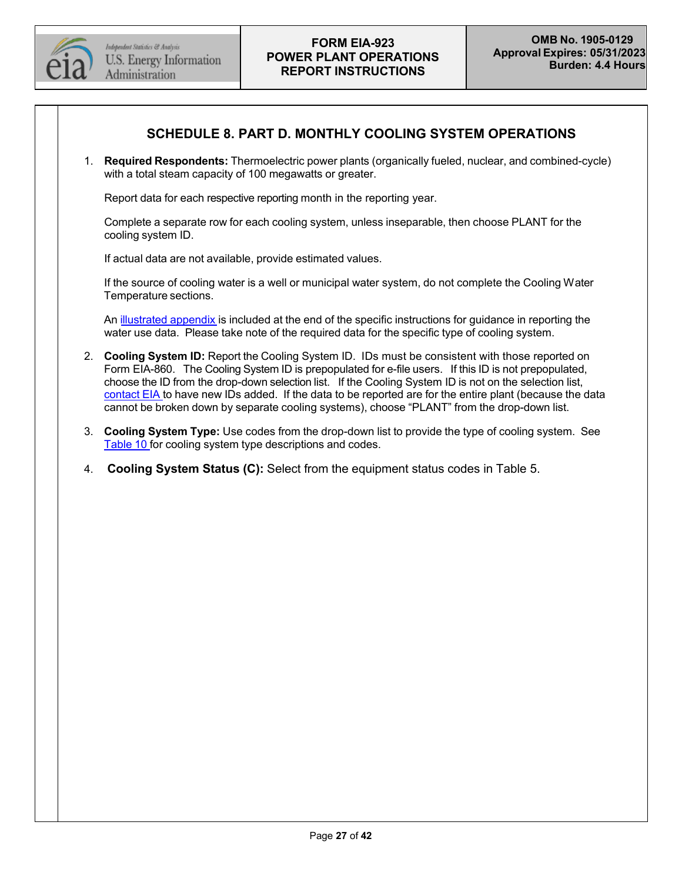

# **SCHEDULE 8. PART D. MONTHLY COOLING SYSTEM OPERATIONS**

1. **Required Respondents:** Thermoelectric power plants (organically fueled, nuclear, and combined-cycle) with a total steam capacity of 100 megawatts or greater.

Report data for each respective reporting month in the reporting year.

Complete a separate row for each cooling system, unless inseparable, then choose PLANT for the cooling system ID.

If actual data are not available, provide estimated values.

If the source of cooling water is a well or municipal water system, do not complete the Cooling Water Temperature sections.

An [illustrated](#page-36-0) appendix is included at the end of the specific instructions for quidance in reporting the water use data. Please take note of the required data for the specific type of cooling system.

- 2. **Cooling System ID:** Report the Cooling System ID. IDs must be consistent with those reported on Form EIA-860. The Cooling System ID is prepopulated for e-file users. If this ID is not prepopulated, choose the ID from the drop-down selection list. If the Cooling System ID is not on the selection list, [contact](mailto:EIA-923@eia.gov) EIA to have new IDs added. If the data to be reported are for the entire plant (because the data cannot be broken down by separate cooling systems), choose "PLANT" from the drop-down list.
- 3. **Cooling System Type:** Use codes from the drop-down list to provide the type of cooling system. See [Table](#page-35-0) 10 for cooling system type descriptions and codes.
- 4. **Cooling System Status (C):** Select from the equipment status codes in Table 5.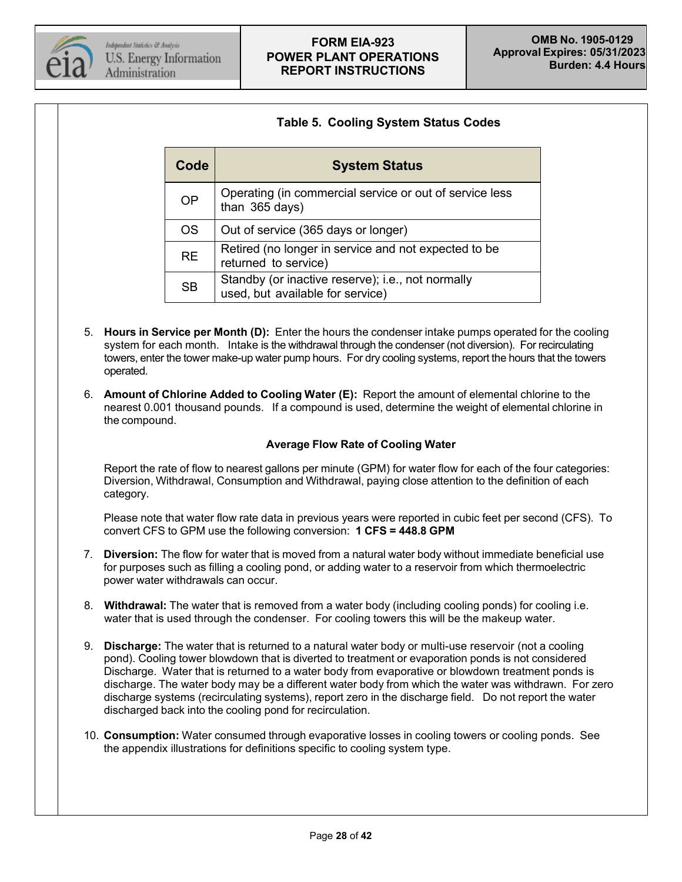

# **Table 5. Cooling System Status Codes**

| Code      | <b>System Status</b>                                                                  |  |  |  |  |  |
|-----------|---------------------------------------------------------------------------------------|--|--|--|--|--|
| <b>OP</b> | Operating (in commercial service or out of service less<br>than 365 days)             |  |  |  |  |  |
| <b>OS</b> | Out of service (365 days or longer)                                                   |  |  |  |  |  |
| <b>RE</b> | Retired (no longer in service and not expected to be<br>returned to service)          |  |  |  |  |  |
| <b>SB</b> | Standby (or inactive reserve); i.e., not normally<br>used, but available for service) |  |  |  |  |  |

- 5. **Hours in Service per Month (D):** Enter the hours the condenser intake pumps operated for the cooling system for each month. Intake is the withdrawal through the condenser (not diversion). For recirculating towers, enter the tower make-up water pump hours. For dry cooling systems, report the hours that the towers operated.
- 6. **Amount of Chlorine Added to Cooling Water (E):** Report the amount of elemental chlorine to the nearest 0.001 thousand pounds. If a compound is used, determine the weight of elemental chlorine in the compound.

#### **Average Flow Rate of Cooling Water**

Report the rate of flow to nearest gallons per minute (GPM) for water flow for each of the four categories: Diversion, Withdrawal, Consumption and Withdrawal, paying close attention to the definition of each category.

Please note that water flow rate data in previous years were reported in cubic feet per second (CFS). To convert CFS to GPM use the following conversion: **1 CFS = 448.8 GPM**

- 7. **Diversion:** The flow for water that is moved from a natural water body without immediate beneficial use for purposes such as filling a cooling pond, or adding water to a reservoir from which thermoelectric power water withdrawals can occur.
- 8. **Withdrawal:** The water that is removed from a water body (including cooling ponds) for cooling i.e. water that is used through the condenser. For cooling towers this will be the makeup water.
- 9. **Discharge:** The water that is returned to a natural water body or multi-use reservoir (not a cooling pond). Cooling tower blowdown that is diverted to treatment or evaporation ponds is not considered Discharge. Water that is returned to a water body from evaporative or blowdown treatment ponds is discharge. The water body may be a different water body from which the water was withdrawn. For zero discharge systems (recirculating systems), report zero in the discharge field. Do not report the water discharged back into the cooling pond for recirculation.
- 10. **Consumption:** Water consumed through evaporative losses in cooling towers or cooling ponds. See the appendix illustrations for definitions specific to cooling system type.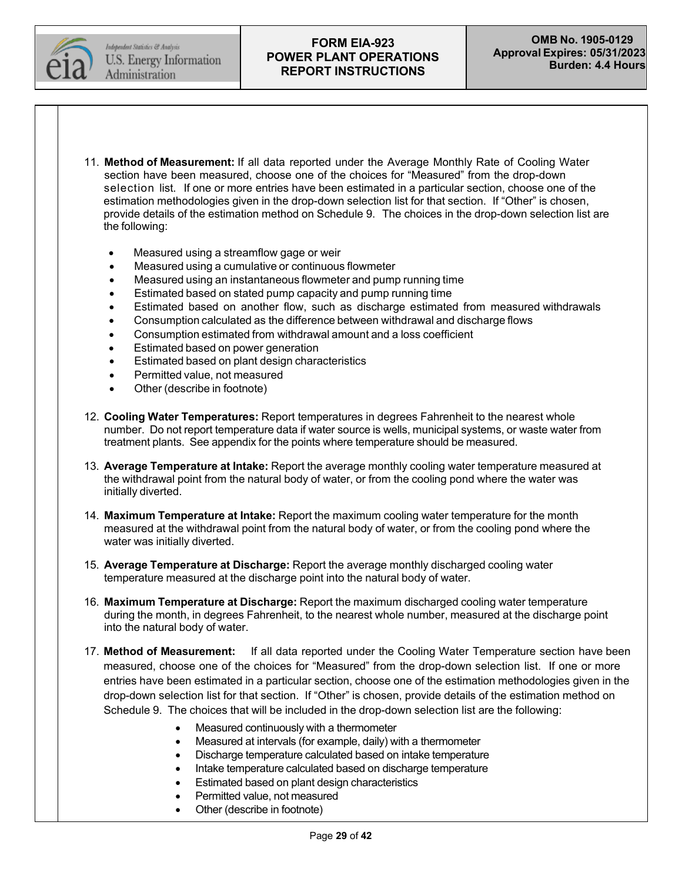

- 11. **Method of Measurement:** If all data reported under the Average Monthly Rate of Cooling Water section have been measured, choose one of the choices for "Measured" from the drop-down selection list. If one or more entries have been estimated in a particular section, choose one of the estimation methodologies given in the drop-down selection list for that section. If "Other" is chosen, provide details of the estimation method on Schedule 9. The choices in the drop-down selection list are the following:
	- Measured using a streamflow gage or weir
	- Measured using a cumulative or continuous flowmeter
	- Measured using an instantaneous flowmeter and pump running time
	- Estimated based on stated pump capacity and pump running time
	- Estimated based on another flow, such as discharge estimated from measured withdrawals
	- Consumption calculated as the difference between withdrawal and discharge flows
	- Consumption estimated from withdrawal amount and a loss coefficient
	- Estimated based on power generation
	- Estimated based on plant design characteristics
	- Permitted value, not measured
	- Other (describe in footnote)
- 12. **Cooling Water Temperatures:** Report temperatures in degrees Fahrenheit to the nearest whole number. Do not report temperature data if water source is wells, municipal systems, or waste water from treatment plants. See appendix for the points where temperature should be measured.
- 13. **Average Temperature at Intake:** Report the average monthly cooling water temperature measured at the withdrawal point from the natural body of water, or from the cooling pond where the water was initially diverted.
- 14. **Maximum Temperature at Intake:** Report the maximum cooling water temperature for the month measured at the withdrawal point from the natural body of water, or from the cooling pond where the water was initially diverted.
- 15. **Average Temperature at Discharge:** Report the average monthly discharged cooling water temperature measured at the discharge point into the natural body of water.
- 16. **Maximum Temperature at Discharge:** Report the maximum discharged cooling water temperature during the month, in degrees Fahrenheit, to the nearest whole number, measured at the discharge point into the natural body of water.
- 17. **Method of Measurement:** If all data reported under the Cooling Water Temperature section have been measured, choose one of the choices for "Measured" from the drop-down selection list. If one or more entries have been estimated in a particular section, choose one of the estimation methodologies given in the drop-down selection list for that section. If "Other" is chosen, provide details of the estimation method on Schedule 9. The choices that will be included in the drop-down selection list are the following:
	- Measured continuously with a thermometer
	- Measured at intervals (for example, daily) with a thermometer
	- Discharge temperature calculated based on intake temperature
	- Intake temperature calculated based on discharge temperature
	- Estimated based on plant design characteristics
	- Permitted value, not measured
	- Other (describe in footnote)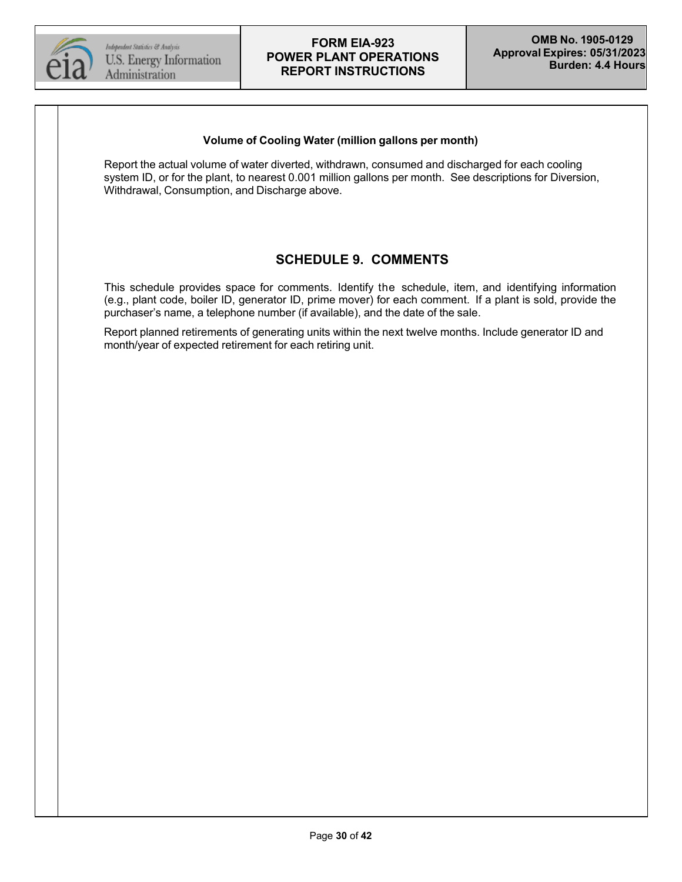

#### **Volume of Cooling Water (million gallons per month)**

Report the actual volume of water diverted, withdrawn, consumed and discharged for each cooling system ID, or for the plant, to nearest 0.001 million gallons per month. See descriptions for Diversion, Withdrawal, Consumption, and Discharge above.

# **SCHEDULE 9. COMMENTS**

This schedule provides space for comments. Identify the schedule, item, and identifying information (e.g., plant code, boiler ID, generator ID, prime mover) for each comment. If a plant is sold, provide the purchaser's name, a telephone number (if available), and the date of the sale.

Report planned retirements of generating units within the next twelve months. Include generator ID and month/year of expected retirement for each retiring unit.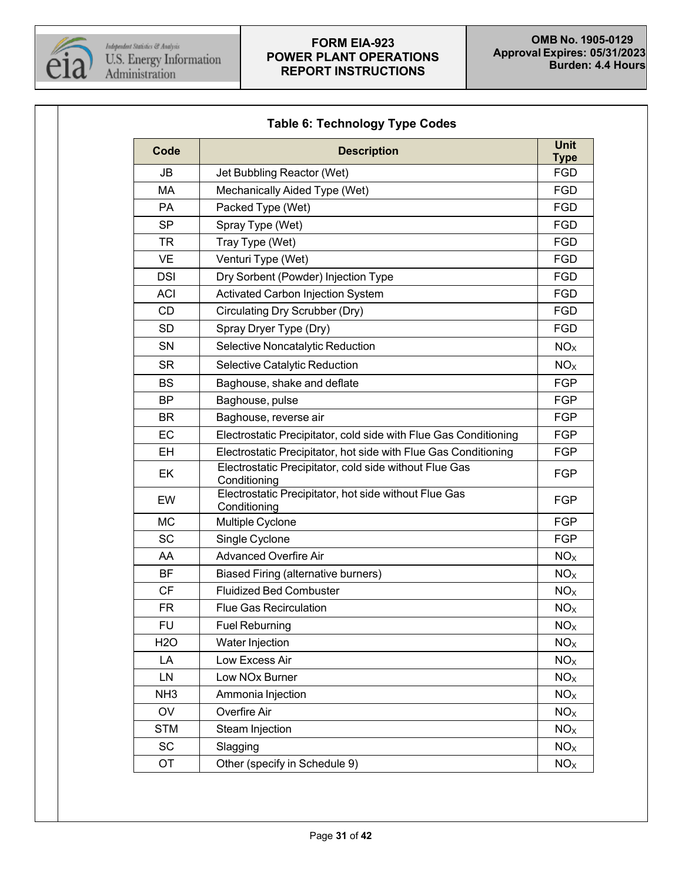

<span id="page-30-0"></span>

| Code            | <b>Description</b>                                                     | <b>Unit</b><br><b>Type</b> |  |  |  |  |  |
|-----------------|------------------------------------------------------------------------|----------------------------|--|--|--|--|--|
| <b>JB</b>       | Jet Bubbling Reactor (Wet)                                             |                            |  |  |  |  |  |
| <b>MA</b>       | Mechanically Aided Type (Wet)                                          | <b>FGD</b>                 |  |  |  |  |  |
| <b>PA</b>       | Packed Type (Wet)                                                      | FGD                        |  |  |  |  |  |
| <b>SP</b>       | Spray Type (Wet)                                                       | <b>FGD</b>                 |  |  |  |  |  |
| TR              | Tray Type (Wet)                                                        | FGD                        |  |  |  |  |  |
| <b>VE</b>       | Venturi Type (Wet)                                                     | <b>FGD</b>                 |  |  |  |  |  |
| <b>DSI</b>      | Dry Sorbent (Powder) Injection Type                                    | <b>FGD</b>                 |  |  |  |  |  |
| <b>ACI</b>      | Activated Carbon Injection System                                      | <b>FGD</b>                 |  |  |  |  |  |
| <b>CD</b>       | Circulating Dry Scrubber (Dry)                                         | <b>FGD</b>                 |  |  |  |  |  |
| <b>SD</b>       | Spray Dryer Type (Dry)                                                 | <b>FGD</b>                 |  |  |  |  |  |
| <b>SN</b>       | Selective Noncatalytic Reduction                                       | NO <sub>X</sub>            |  |  |  |  |  |
| <b>SR</b>       | Selective Catalytic Reduction                                          | NO <sub>x</sub>            |  |  |  |  |  |
| <b>BS</b>       | Baghouse, shake and deflate                                            | <b>FGP</b>                 |  |  |  |  |  |
| <b>BP</b>       | Baghouse, pulse                                                        | <b>FGP</b>                 |  |  |  |  |  |
| <b>BR</b>       | Baghouse, reverse air                                                  | <b>FGP</b>                 |  |  |  |  |  |
| EC              | Electrostatic Precipitator, cold side with Flue Gas Conditioning       |                            |  |  |  |  |  |
| <b>EH</b>       | Electrostatic Precipitator, hot side with Flue Gas Conditioning        |                            |  |  |  |  |  |
| EK              | Electrostatic Precipitator, cold side without Flue Gas<br>Conditioning |                            |  |  |  |  |  |
| EW              | Electrostatic Precipitator, hot side without Flue Gas<br>Conditioning  |                            |  |  |  |  |  |
| <b>MC</b>       | Multiple Cyclone                                                       |                            |  |  |  |  |  |
| <b>SC</b>       | Single Cyclone                                                         | <b>FGP</b>                 |  |  |  |  |  |
| AA              | <b>Advanced Overfire Air</b>                                           | NO <sub>X</sub>            |  |  |  |  |  |
| <b>BF</b>       | <b>Biased Firing (alternative burners)</b>                             | NO <sub>X</sub>            |  |  |  |  |  |
| <b>CF</b>       | <b>Fluidized Bed Combuster</b>                                         | NO <sub>X</sub>            |  |  |  |  |  |
| FR.             | <b>Flue Gas Recirculation</b>                                          | NO <sub>X</sub>            |  |  |  |  |  |
| <b>FU</b>       | <b>Fuel Reburning</b>                                                  | NO <sub>X</sub>            |  |  |  |  |  |
| <b>H2O</b>      | Water Injection                                                        | NO <sub>x</sub>            |  |  |  |  |  |
| LA              | Low Excess Air                                                         | NO <sub>X</sub>            |  |  |  |  |  |
| LN              | Low NOx Burner                                                         | NO <sub>x</sub>            |  |  |  |  |  |
| NH <sub>3</sub> | Ammonia Injection                                                      | NO <sub>X</sub>            |  |  |  |  |  |
| OV              | Overfire Air                                                           | NO <sub>X</sub>            |  |  |  |  |  |
| <b>STM</b>      | Steam Injection                                                        | NO <sub>x</sub>            |  |  |  |  |  |
| <b>SC</b>       | Slagging                                                               | NO <sub>x</sub>            |  |  |  |  |  |
| OT              | Other (specify in Schedule 9)                                          |                            |  |  |  |  |  |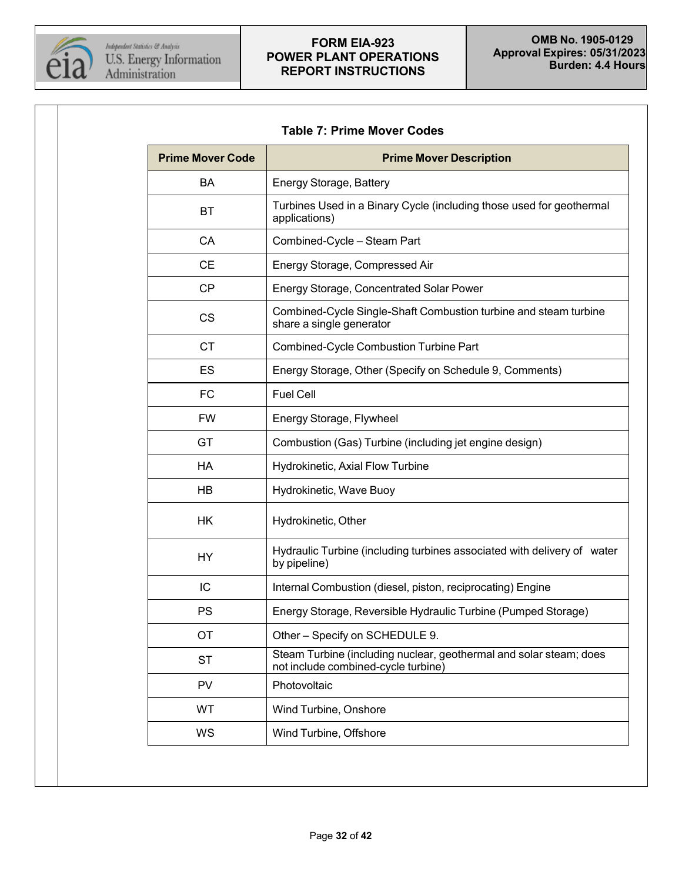

<span id="page-31-0"></span>

|  | <b>Table 7: Prime Mover Codes</b> |  |
|--|-----------------------------------|--|
|  |                                   |  |

| <b>Prime Mover Code</b> | <b>Prime Mover Description</b>                                                                            |  |  |  |  |  |
|-------------------------|-----------------------------------------------------------------------------------------------------------|--|--|--|--|--|
| BA                      | Energy Storage, Battery                                                                                   |  |  |  |  |  |
| ВT                      | Turbines Used in a Binary Cycle (including those used for geothermal<br>applications)                     |  |  |  |  |  |
| CA                      | Combined-Cycle - Steam Part                                                                               |  |  |  |  |  |
| <b>CE</b>               | Energy Storage, Compressed Air                                                                            |  |  |  |  |  |
| <b>CP</b>               | Energy Storage, Concentrated Solar Power                                                                  |  |  |  |  |  |
| <b>CS</b>               | Combined-Cycle Single-Shaft Combustion turbine and steam turbine<br>share a single generator              |  |  |  |  |  |
| <b>CT</b>               | Combined-Cycle Combustion Turbine Part                                                                    |  |  |  |  |  |
| ES                      | Energy Storage, Other (Specify on Schedule 9, Comments)                                                   |  |  |  |  |  |
| <b>FC</b>               | <b>Fuel Cell</b>                                                                                          |  |  |  |  |  |
| <b>FW</b>               | Energy Storage, Flywheel                                                                                  |  |  |  |  |  |
| GT                      | Combustion (Gas) Turbine (including jet engine design)                                                    |  |  |  |  |  |
| HA                      | Hydrokinetic, Axial Flow Turbine                                                                          |  |  |  |  |  |
| <b>HB</b>               | Hydrokinetic, Wave Buoy                                                                                   |  |  |  |  |  |
| HK                      | Hydrokinetic, Other                                                                                       |  |  |  |  |  |
| <b>HY</b>               | Hydraulic Turbine (including turbines associated with delivery of water<br>by pipeline)                   |  |  |  |  |  |
| IC                      | Internal Combustion (diesel, piston, reciprocating) Engine                                                |  |  |  |  |  |
| <b>PS</b>               | Energy Storage, Reversible Hydraulic Turbine (Pumped Storage)                                             |  |  |  |  |  |
| ОT                      | Other - Specify on SCHEDULE 9.                                                                            |  |  |  |  |  |
| <b>ST</b>               | Steam Turbine (including nuclear, geothermal and solar steam; does<br>not include combined-cycle turbine) |  |  |  |  |  |
| <b>PV</b>               | Photovoltaic                                                                                              |  |  |  |  |  |
| <b>WT</b>               | Wind Turbine, Onshore                                                                                     |  |  |  |  |  |
| WS                      | Wind Turbine, Offshore                                                                                    |  |  |  |  |  |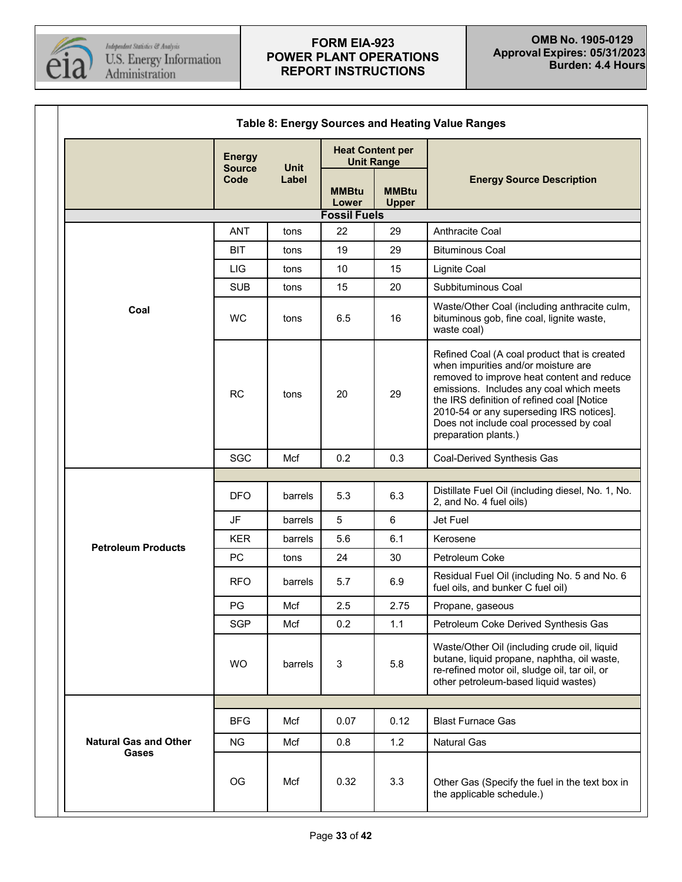

<span id="page-32-0"></span>T

| Table 8: Energy Sources and Heating Value Ranges |                                |                                |                                              |                              |                                                                                                                                                                                                                                                                                                                                            |  |  |
|--------------------------------------------------|--------------------------------|--------------------------------|----------------------------------------------|------------------------------|--------------------------------------------------------------------------------------------------------------------------------------------------------------------------------------------------------------------------------------------------------------------------------------------------------------------------------------------|--|--|
|                                                  | <b>Energy</b><br><b>Source</b> | <b>Unit</b>                    | <b>Heat Content per</b><br><b>Unit Range</b> |                              |                                                                                                                                                                                                                                                                                                                                            |  |  |
|                                                  | Code                           | Label<br><b>MMBtu</b><br>Lower |                                              | <b>MMBtu</b><br><b>Upper</b> | <b>Energy Source Description</b>                                                                                                                                                                                                                                                                                                           |  |  |
|                                                  |                                |                                | <b>Fossil Fuels</b>                          |                              |                                                                                                                                                                                                                                                                                                                                            |  |  |
|                                                  | <b>ANT</b>                     | tons                           | 22                                           | 29                           | Anthracite Coal                                                                                                                                                                                                                                                                                                                            |  |  |
|                                                  | <b>BIT</b>                     | tons                           | 19                                           | 29                           | <b>Bituminous Coal</b>                                                                                                                                                                                                                                                                                                                     |  |  |
|                                                  | LIG                            | tons                           | 10                                           | 15                           | <b>Lignite Coal</b>                                                                                                                                                                                                                                                                                                                        |  |  |
|                                                  | <b>SUB</b>                     | tons                           | 15                                           | 20                           | Subbituminous Coal                                                                                                                                                                                                                                                                                                                         |  |  |
| Coal                                             | <b>WC</b>                      | tons                           | 6.5                                          | 16                           | Waste/Other Coal (including anthracite culm,<br>bituminous gob, fine coal, lignite waste,<br>waste coal)                                                                                                                                                                                                                                   |  |  |
|                                                  | <b>RC</b>                      | tons                           | 20                                           | 29                           | Refined Coal (A coal product that is created<br>when impurities and/or moisture are<br>removed to improve heat content and reduce<br>emissions. Includes any coal which meets<br>the IRS definition of refined coal [Notice<br>2010-54 or any superseding IRS notices].<br>Does not include coal processed by coal<br>preparation plants.) |  |  |
|                                                  | SGC                            | Mcf                            | 0.2                                          | 0.3                          | Coal-Derived Synthesis Gas                                                                                                                                                                                                                                                                                                                 |  |  |
|                                                  |                                |                                |                                              |                              |                                                                                                                                                                                                                                                                                                                                            |  |  |
|                                                  | <b>DFO</b>                     | barrels                        | 5.3                                          | 6.3                          | Distillate Fuel Oil (including diesel, No. 1, No.<br>2, and No. 4 fuel oils)                                                                                                                                                                                                                                                               |  |  |
|                                                  | JF                             | barrels                        | $5\phantom{.0}$                              | $6\phantom{.}$               | Jet Fuel                                                                                                                                                                                                                                                                                                                                   |  |  |
| <b>Petroleum Products</b>                        | <b>KER</b>                     | barrels                        | 5.6                                          | 6.1                          | Kerosene                                                                                                                                                                                                                                                                                                                                   |  |  |
|                                                  | <b>PC</b>                      | tons                           | 24                                           | 30                           | Petroleum Coke                                                                                                                                                                                                                                                                                                                             |  |  |
|                                                  | <b>RFO</b>                     | barrels                        | 5.7                                          | 6.9                          | Residual Fuel Oil (including No. 5 and No. 6<br>fuel oils, and bunker C fuel oil)                                                                                                                                                                                                                                                          |  |  |
|                                                  | PG                             | Mcf                            | 2.5                                          | 2.75                         | Propane, gaseous                                                                                                                                                                                                                                                                                                                           |  |  |
|                                                  | <b>SGP</b>                     | Mcf                            | 0.2                                          | 1.1                          | Petroleum Coke Derived Synthesis Gas                                                                                                                                                                                                                                                                                                       |  |  |
|                                                  | <b>WO</b>                      | barrels                        | $\sqrt{3}$                                   | 5.8                          | Waste/Other Oil (including crude oil, liquid<br>butane, liquid propane, naphtha, oil waste,<br>re-refined motor oil, sludge oil, tar oil, or<br>other petroleum-based liquid wastes)                                                                                                                                                       |  |  |
|                                                  |                                |                                |                                              |                              |                                                                                                                                                                                                                                                                                                                                            |  |  |
|                                                  | <b>BFG</b>                     | Mcf                            | 0.07                                         | 0.12                         | <b>Blast Furnace Gas</b>                                                                                                                                                                                                                                                                                                                   |  |  |
| <b>Natural Gas and Other</b>                     | <b>NG</b>                      | Mcf                            | 0.8                                          | 1.2                          | <b>Natural Gas</b>                                                                                                                                                                                                                                                                                                                         |  |  |
| Gases                                            | OG                             | Mcf                            | 0.32                                         | 3.3                          | Other Gas (Specify the fuel in the text box in<br>the applicable schedule.)                                                                                                                                                                                                                                                                |  |  |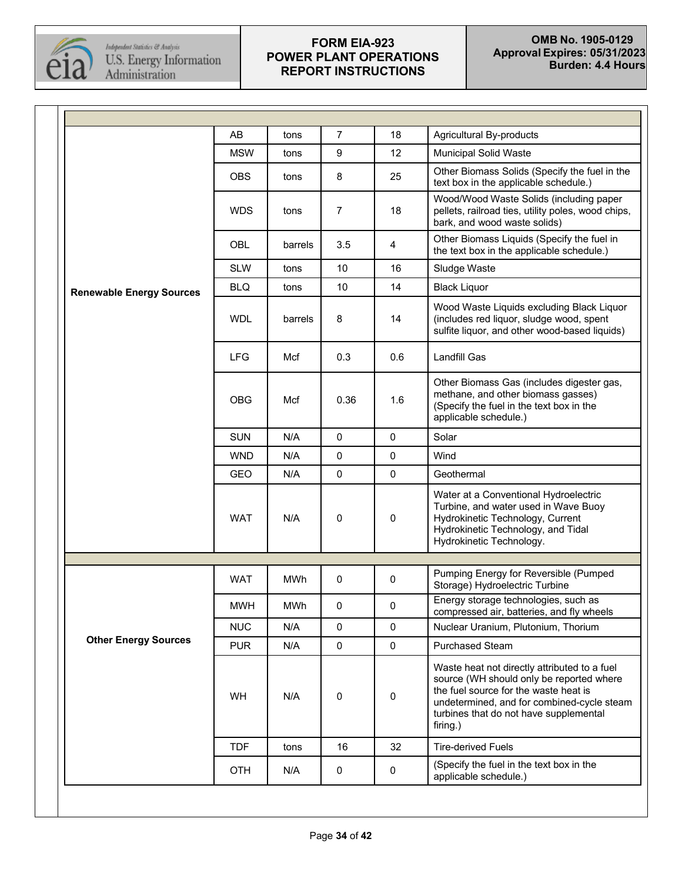

|                                 | AB         | tons       | 7           | 18          | Agricultural By-products                                                                                                                                                                                                              |
|---------------------------------|------------|------------|-------------|-------------|---------------------------------------------------------------------------------------------------------------------------------------------------------------------------------------------------------------------------------------|
|                                 | <b>MSW</b> | tons       | 9           | 12          | <b>Municipal Solid Waste</b>                                                                                                                                                                                                          |
|                                 | <b>OBS</b> | tons       | 8           | 25          | Other Biomass Solids (Specify the fuel in the<br>text box in the applicable schedule.)                                                                                                                                                |
|                                 | <b>WDS</b> | tons       | 7           | 18          | Wood/Wood Waste Solids (including paper<br>pellets, railroad ties, utility poles, wood chips,<br>bark, and wood waste solids)                                                                                                         |
|                                 | OBL        | barrels    | 3.5         | 4           | Other Biomass Liquids (Specify the fuel in<br>the text box in the applicable schedule.)                                                                                                                                               |
|                                 | <b>SLW</b> | tons       | 10          | 16          | Sludge Waste                                                                                                                                                                                                                          |
| <b>Renewable Energy Sources</b> | <b>BLQ</b> | tons       | 10          | 14          | <b>Black Liquor</b>                                                                                                                                                                                                                   |
|                                 | <b>WDL</b> | barrels    | 8           | 14          | Wood Waste Liquids excluding Black Liquor<br>(includes red liquor, sludge wood, spent<br>sulfite liquor, and other wood-based liquids)                                                                                                |
|                                 | <b>LFG</b> | Mcf        | 0.3         | 0.6         | Landfill Gas                                                                                                                                                                                                                          |
|                                 | <b>OBG</b> | Mcf        | 0.36        | 1.6         | Other Biomass Gas (includes digester gas,<br>methane, and other biomass gasses)<br>(Specify the fuel in the text box in the<br>applicable schedule.)                                                                                  |
|                                 | <b>SUN</b> | N/A        | 0           | $\mathbf 0$ | Solar                                                                                                                                                                                                                                 |
|                                 | <b>WND</b> | N/A        | $\mathbf 0$ | $\mathbf 0$ | Wind                                                                                                                                                                                                                                  |
|                                 | <b>GEO</b> | N/A        | $\mathbf 0$ | $\mathbf 0$ | Geothermal                                                                                                                                                                                                                            |
|                                 | <b>WAT</b> | N/A        | 0           | $\mathbf 0$ | Water at a Conventional Hydroelectric<br>Turbine, and water used in Wave Buoy<br>Hydrokinetic Technology, Current<br>Hydrokinetic Technology, and Tidal<br>Hydrokinetic Technology.                                                   |
|                                 |            |            |             |             |                                                                                                                                                                                                                                       |
|                                 | <b>WAT</b> | MWh        | 0           | $\mathbf 0$ | Pumping Energy for Reversible (Pumped<br>Storage) Hydroelectric Turbine                                                                                                                                                               |
|                                 | <b>MWH</b> | <b>MWh</b> | $\mathbf 0$ | 0           | Energy storage technologies, such as<br>compressed air, batteries, and fly wheels                                                                                                                                                     |
|                                 | <b>NUC</b> | N/A        | $\mathbf 0$ | $\mathbf 0$ | Nuclear Uranium, Plutonium, Thorium                                                                                                                                                                                                   |
| <b>Other Energy Sources</b>     | <b>PUR</b> | N/A        | $\mathbf 0$ | $\mathsf 0$ | <b>Purchased Steam</b>                                                                                                                                                                                                                |
|                                 | WH         | N/A        | 0           | 0           | Waste heat not directly attributed to a fuel<br>source (WH should only be reported where<br>the fuel source for the waste heat is<br>undetermined, and for combined-cycle steam<br>turbines that do not have supplemental<br>firing.) |
|                                 | <b>TDF</b> | tons       | 16          | 32          | <b>Tire-derived Fuels</b>                                                                                                                                                                                                             |
|                                 | <b>OTH</b> | N/A        | 0           | $\mathbf 0$ | (Specify the fuel in the text box in the<br>applicable schedule.)                                                                                                                                                                     |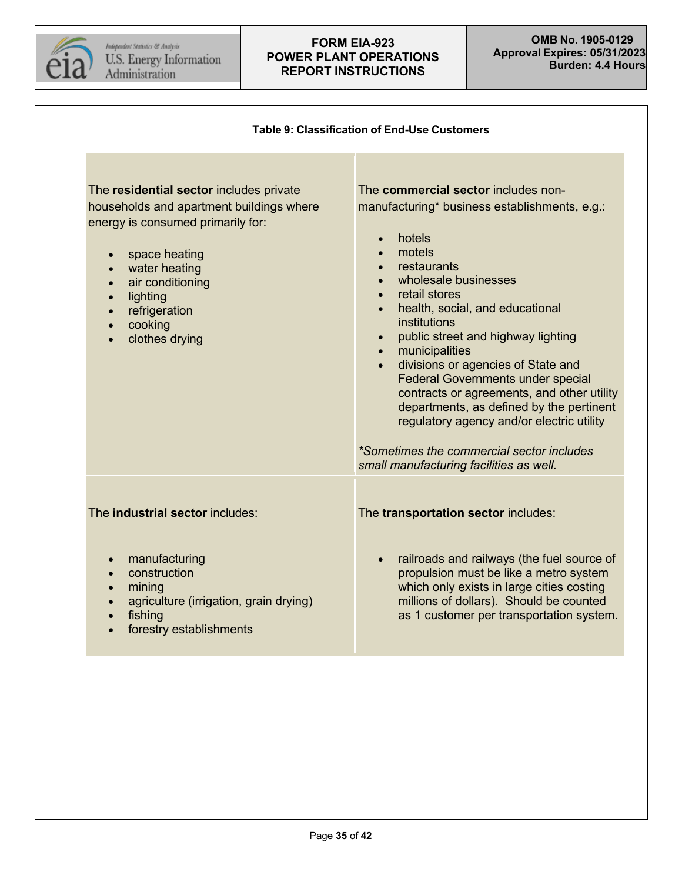

<span id="page-34-0"></span>

|                                                                                                                                                                                                                                                                                 | <b>Table 9: Classification of End-Use Customers</b>                                                                                                                                                                                                                                                                                                                                                                                                                                                                                                                                                                                 |
|---------------------------------------------------------------------------------------------------------------------------------------------------------------------------------------------------------------------------------------------------------------------------------|-------------------------------------------------------------------------------------------------------------------------------------------------------------------------------------------------------------------------------------------------------------------------------------------------------------------------------------------------------------------------------------------------------------------------------------------------------------------------------------------------------------------------------------------------------------------------------------------------------------------------------------|
| The residential sector includes private<br>households and apartment buildings where<br>energy is consumed primarily for:<br>space heating<br>water heating<br>$\bullet$<br>air conditioning<br>$\bullet$<br>lighting<br>$\bullet$<br>refrigeration<br>cooking<br>clothes drying | The commercial sector includes non-<br>manufacturing* business establishments, e.g.:<br>hotels<br>motels<br>restaurants<br>wholesale businesses<br>retail stores<br>health, social, and educational<br>institutions<br>public street and highway lighting<br>$\bullet$<br>municipalities<br>$\bullet$<br>divisions or agencies of State and<br>$\bullet$<br><b>Federal Governments under special</b><br>contracts or agreements, and other utility<br>departments, as defined by the pertinent<br>regulatory agency and/or electric utility<br>*Sometimes the commercial sector includes<br>small manufacturing facilities as well. |
| The <b>industrial sector</b> includes:<br>manufacturing<br>$\bullet$<br>construction<br>$\bullet$<br>mining<br>$\bullet$<br>agriculture (irrigation, grain drying)<br>fishing<br>$\bullet$<br>forestry establishments<br>$\bullet$                                              | The transportation sector includes:<br>railroads and railways (the fuel source of<br>propulsion must be like a metro system<br>which only exists in large cities costing<br>millions of dollars). Should be counted<br>as 1 customer per transportation system.                                                                                                                                                                                                                                                                                                                                                                     |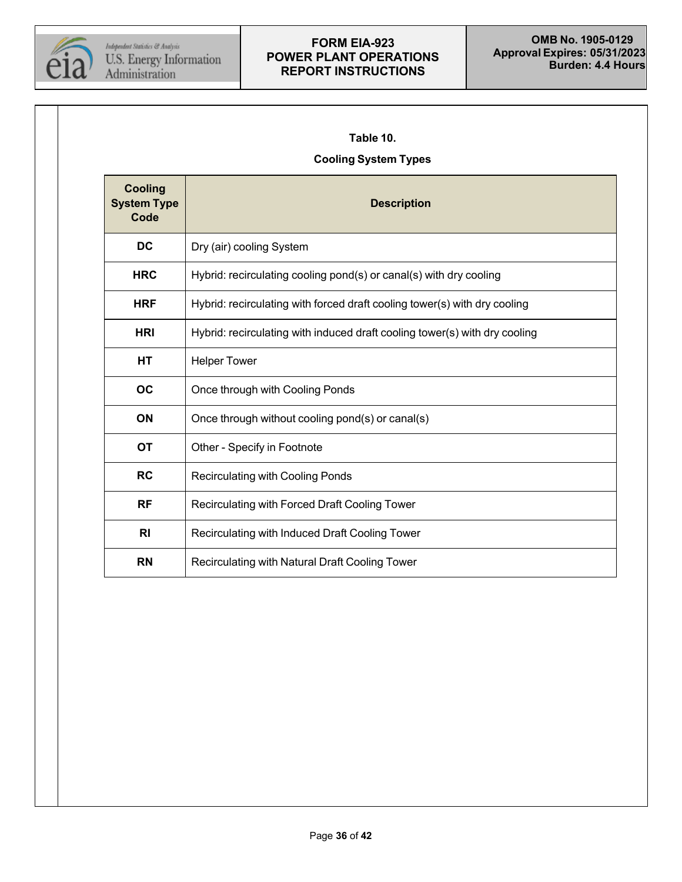

#### <span id="page-35-0"></span>**Table 10.**

# **Cooling System Types**

| <b>Cooling</b><br><b>System Type</b><br>Code | <b>Description</b>                                                         |
|----------------------------------------------|----------------------------------------------------------------------------|
| <b>DC</b>                                    | Dry (air) cooling System                                                   |
| <b>HRC</b>                                   | Hybrid: recirculating cooling pond(s) or canal(s) with dry cooling         |
| <b>HRF</b>                                   | Hybrid: recirculating with forced draft cooling tower(s) with dry cooling  |
| <b>HRI</b>                                   | Hybrid: recirculating with induced draft cooling tower(s) with dry cooling |
| HT                                           | <b>Helper Tower</b>                                                        |
| <b>OC</b>                                    | Once through with Cooling Ponds                                            |
| <b>ON</b>                                    | Once through without cooling pond(s) or canal(s)                           |
| <b>OT</b>                                    | Other - Specify in Footnote                                                |
| <b>RC</b>                                    | Recirculating with Cooling Ponds                                           |
| <b>RF</b>                                    | Recirculating with Forced Draft Cooling Tower                              |
| R <sub>l</sub>                               | Recirculating with Induced Draft Cooling Tower                             |
| <b>RN</b>                                    | Recirculating with Natural Draft Cooling Tower                             |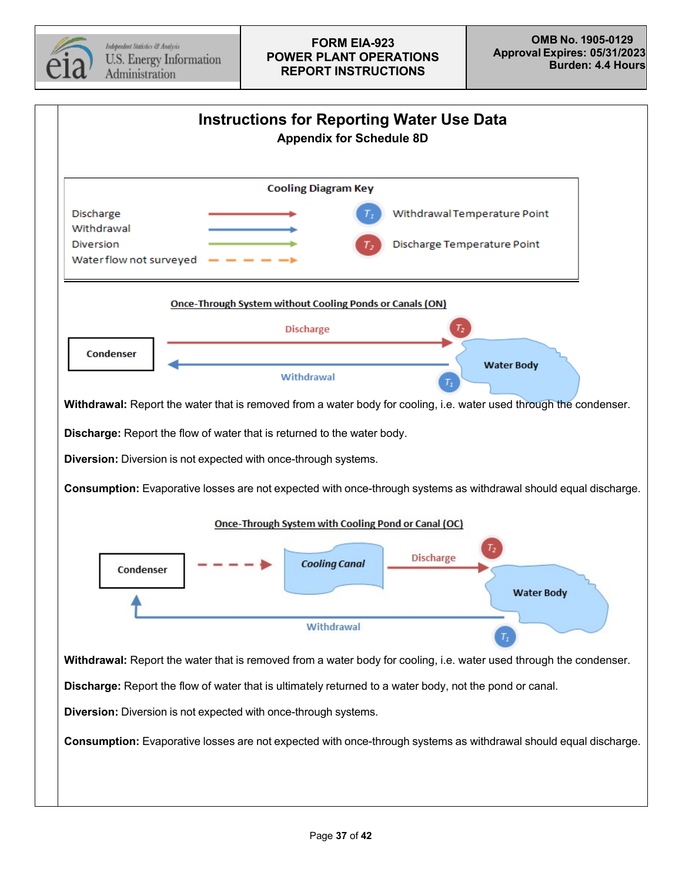

<span id="page-36-0"></span>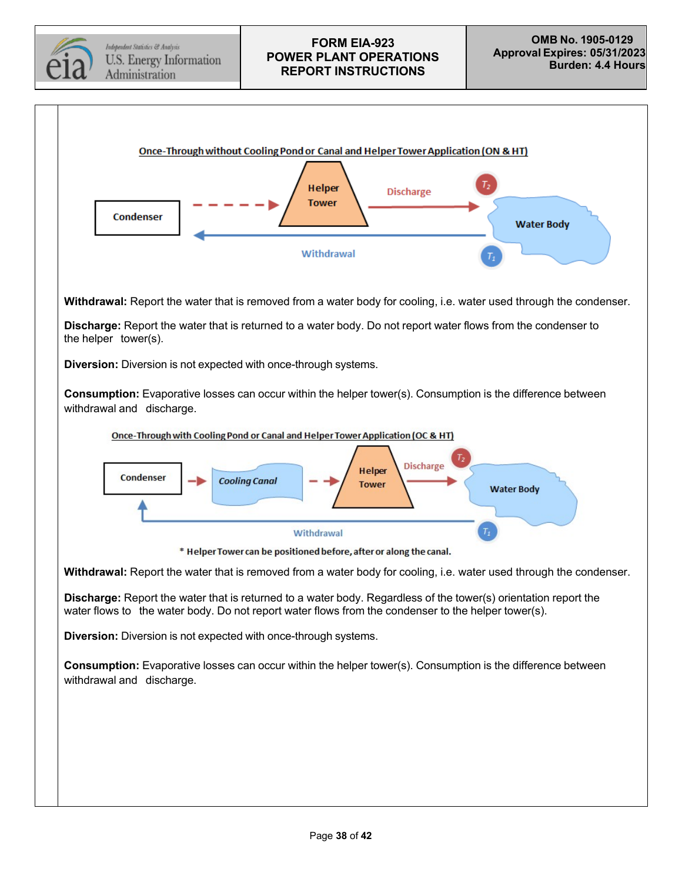

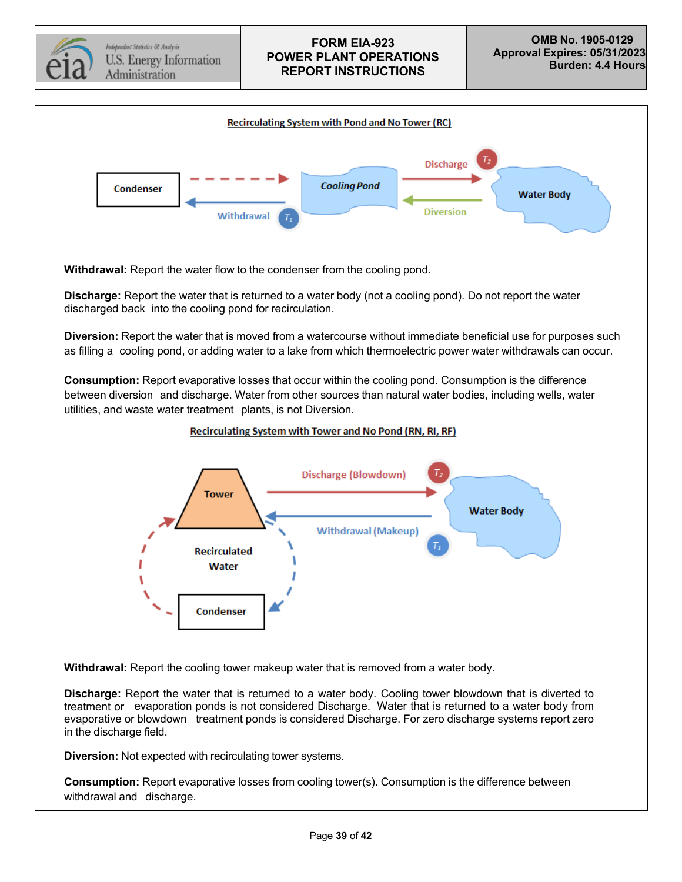Independent Statistics & Analysis U.S. Energy Information Administration

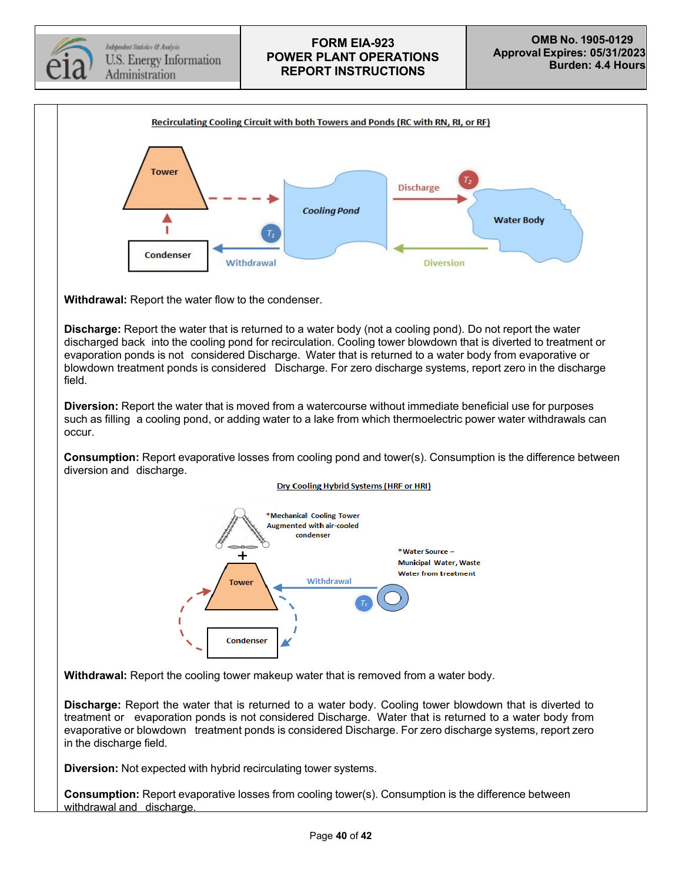



**Withdrawal:** Report the water flow to the condenser.

**Discharge:** Report the water that is returned to a water body (not a cooling pond). Do not report the water discharged back into the cooling pond for recirculation. Cooling tower blowdown that is diverted to treatment or evaporation ponds is not considered Discharge. Water that is returned to a water body from evaporative or blowdown treatment ponds is considered Discharge. For zero discharge systems, report zero in the discharge field.

**Diversion:** Report the water that is moved from a watercourse without immediate beneficial use for purposes such as filling a cooling pond, or adding water to a lake from which thermoelectric power water withdrawals can occur.

**Consumption:** Report evaporative losses from cooling pond and tower(s). Consumption is the difference between diversion and discharge.



#### Dry Cooling Hybrid Systems (HRF or HRI)

**Withdrawal:** Report the cooling tower makeup water that is removed from a water body.

**Discharge:** Report the water that is returned to a water body. Cooling tower blowdown that is diverted to treatment or evaporation ponds is not considered Discharge. Water that is returned to a water body from evaporative or blowdown treatment ponds is considered Discharge. For zero discharge systems, report zero in the discharge field.

**Diversion:** Not expected with hybrid recirculating tower systems.

**Consumption:** Report evaporative losses from cooling tower(s). Consumption is the difference between withdrawal and discharge.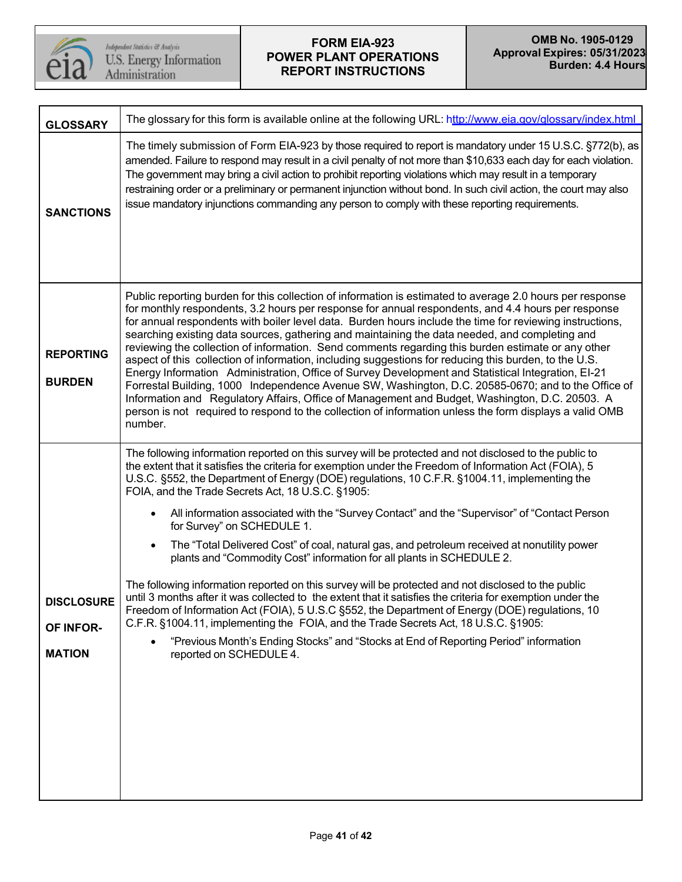

| <b>GLOSSARY</b>                                 | The glossary for this form is available online at the following URL: http://www.eia.gov/glossary/index.html                                                                                                                                                                                                                                                                                                                                                                                                                                                                                                                                                                                                                                                                                                                                                                                                                                                                                                                                                                                                                                                                                                                 |
|-------------------------------------------------|-----------------------------------------------------------------------------------------------------------------------------------------------------------------------------------------------------------------------------------------------------------------------------------------------------------------------------------------------------------------------------------------------------------------------------------------------------------------------------------------------------------------------------------------------------------------------------------------------------------------------------------------------------------------------------------------------------------------------------------------------------------------------------------------------------------------------------------------------------------------------------------------------------------------------------------------------------------------------------------------------------------------------------------------------------------------------------------------------------------------------------------------------------------------------------------------------------------------------------|
| <b>SANCTIONS</b>                                | The timely submission of Form EIA-923 by those required to report is mandatory under 15 U.S.C. §772(b), as<br>amended. Failure to respond may result in a civil penalty of not more than \$10,633 each day for each violation.<br>The government may bring a civil action to prohibit reporting violations which may result in a temporary<br>restraining order or a preliminary or permanent injunction without bond. In such civil action, the court may also<br>issue mandatory injunctions commanding any person to comply with these reporting requirements.                                                                                                                                                                                                                                                                                                                                                                                                                                                                                                                                                                                                                                                           |
| <b>REPORTING</b><br><b>BURDEN</b>               | Public reporting burden for this collection of information is estimated to average 2.0 hours per response<br>for monthly respondents, 3.2 hours per response for annual respondents, and 4.4 hours per response<br>for annual respondents with boiler level data. Burden hours include the time for reviewing instructions,<br>searching existing data sources, gathering and maintaining the data needed, and completing and<br>reviewing the collection of information. Send comments regarding this burden estimate or any other<br>aspect of this collection of information, including suggestions for reducing this burden, to the U.S.<br>Energy Information Administration, Office of Survey Development and Statistical Integration, EI-21<br>Forrestal Building, 1000 Independence Avenue SW, Washington, D.C. 20585-0670; and to the Office of<br>Information and Regulatory Affairs, Office of Management and Budget, Washington, D.C. 20503. A<br>person is not required to respond to the collection of information unless the form displays a valid OMB<br>number.                                                                                                                                            |
| <b>DISCLOSURE</b><br>OF INFOR-<br><b>MATION</b> | The following information reported on this survey will be protected and not disclosed to the public to<br>the extent that it satisfies the criteria for exemption under the Freedom of Information Act (FOIA), 5<br>U.S.C. §552, the Department of Energy (DOE) regulations, 10 C.F.R. §1004.11, implementing the<br>FOIA, and the Trade Secrets Act, 18 U.S.C. §1905:<br>All information associated with the "Survey Contact" and the "Supervisor" of "Contact Person<br>for Survey" on SCHEDULE 1.<br>The "Total Delivered Cost" of coal, natural gas, and petroleum received at nonutility power<br>$\bullet$<br>plants and "Commodity Cost" information for all plants in SCHEDULE 2.<br>The following information reported on this survey will be protected and not disclosed to the public<br>until 3 months after it was collected to the extent that it satisfies the criteria for exemption under the<br>Freedom of Information Act (FOIA), 5 U.S.C §552, the Department of Energy (DOE) regulations, 10<br>C.F.R. §1004.11, implementing the FOIA, and the Trade Secrets Act, 18 U.S.C. §1905:<br>"Previous Month's Ending Stocks" and "Stocks at End of Reporting Period" information<br>reported on SCHEDULE 4. |